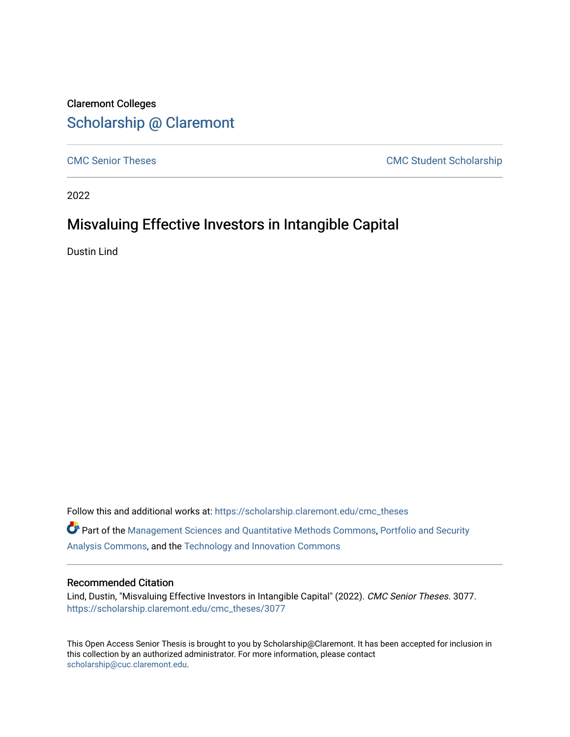# Claremont Colleges [Scholarship @ Claremont](https://scholarship.claremont.edu/)

[CMC Senior Theses](https://scholarship.claremont.edu/cmc_theses) CMC Student Scholarship

2022

# Misvaluing Effective Investors in Intangible Capital

Dustin Lind

Follow this and additional works at: [https://scholarship.claremont.edu/cmc\\_theses](https://scholarship.claremont.edu/cmc_theses?utm_source=scholarship.claremont.edu%2Fcmc_theses%2F3077&utm_medium=PDF&utm_campaign=PDFCoverPages) 

Part of the [Management Sciences and Quantitative Methods Commons](https://network.bepress.com/hgg/discipline/637?utm_source=scholarship.claremont.edu%2Fcmc_theses%2F3077&utm_medium=PDF&utm_campaign=PDFCoverPages), [Portfolio and Security](https://network.bepress.com/hgg/discipline/640?utm_source=scholarship.claremont.edu%2Fcmc_theses%2F3077&utm_medium=PDF&utm_campaign=PDFCoverPages) [Analysis Commons,](https://network.bepress.com/hgg/discipline/640?utm_source=scholarship.claremont.edu%2Fcmc_theses%2F3077&utm_medium=PDF&utm_campaign=PDFCoverPages) and the [Technology and Innovation Commons](https://network.bepress.com/hgg/discipline/644?utm_source=scholarship.claremont.edu%2Fcmc_theses%2F3077&utm_medium=PDF&utm_campaign=PDFCoverPages) 

#### Recommended Citation

Lind, Dustin, "Misvaluing Effective Investors in Intangible Capital" (2022). CMC Senior Theses. 3077. [https://scholarship.claremont.edu/cmc\\_theses/3077](https://scholarship.claremont.edu/cmc_theses/3077?utm_source=scholarship.claremont.edu%2Fcmc_theses%2F3077&utm_medium=PDF&utm_campaign=PDFCoverPages) 

This Open Access Senior Thesis is brought to you by Scholarship@Claremont. It has been accepted for inclusion in this collection by an authorized administrator. For more information, please contact [scholarship@cuc.claremont.edu.](mailto:scholarship@cuc.claremont.edu)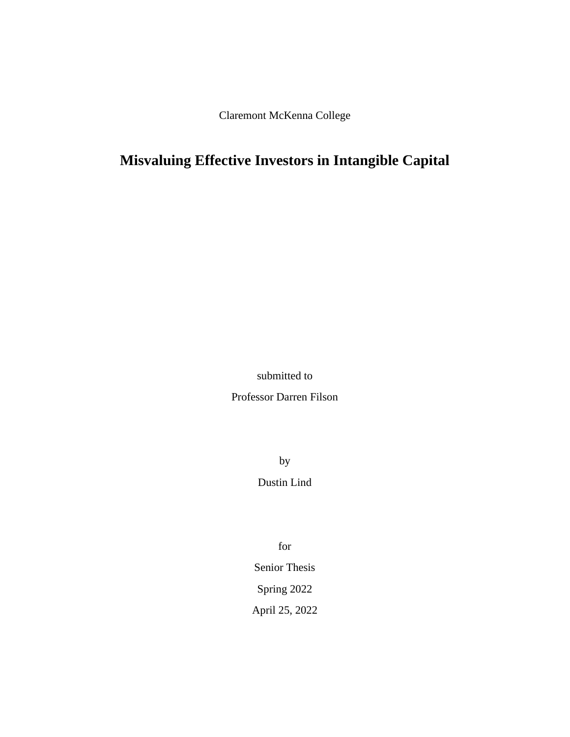Claremont McKenna College

# **Misvaluing Effective Investors in Intangible Capital**

submitted to Professor Darren Filson

by

#### Dustin Lind

for

Senior Thesis Spring 2022 April 25, 2022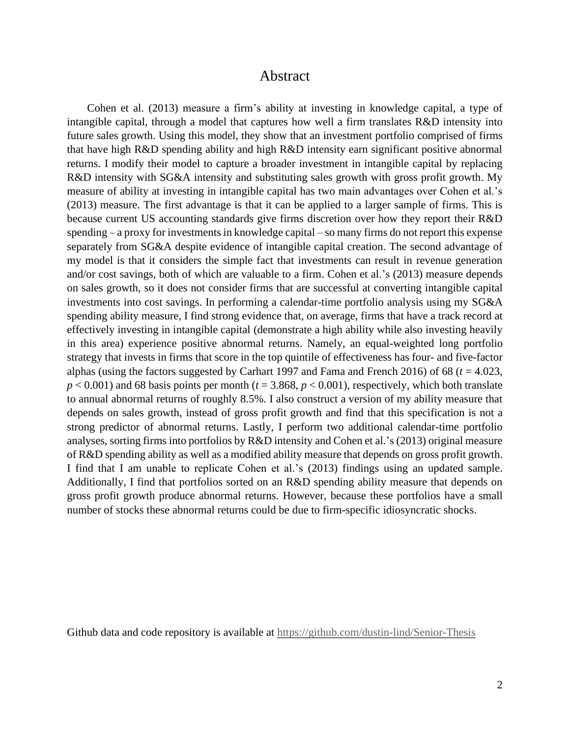#### Abstract

<span id="page-2-0"></span>Cohen et al. (2013) measure a firm's ability at investing in knowledge capital, a type of intangible capital, through a model that captures how well a firm translates R&D intensity into future sales growth. Using this model, they show that an investment portfolio comprised of firms that have high R&D spending ability and high R&D intensity earn significant positive abnormal returns. I modify their model to capture a broader investment in intangible capital by replacing R&D intensity with SG&A intensity and substituting sales growth with gross profit growth. My measure of ability at investing in intangible capital has two main advantages over Cohen et al.'s (2013) measure. The first advantage is that it can be applied to a larger sample of firms. This is because current US accounting standards give firms discretion over how they report their R&D spending – a proxy for investments in knowledge capital – so many firms do not report this expense separately from SG&A despite evidence of intangible capital creation. The second advantage of my model is that it considers the simple fact that investments can result in revenue generation and/or cost savings, both of which are valuable to a firm. Cohen et al.'s (2013) measure depends on sales growth, so it does not consider firms that are successful at converting intangible capital investments into cost savings. In performing a calendar-time portfolio analysis using my SG&A spending ability measure, I find strong evidence that, on average, firms that have a track record at effectively investing in intangible capital (demonstrate a high ability while also investing heavily in this area) experience positive abnormal returns. Namely, an equal-weighted long portfolio strategy that invests in firms that score in the top quintile of effectiveness has four- and five-factor alphas (using the factors suggested by Carhart 1997 and Fama and French 2016) of 68 (*t* = 4.023,  $p < 0.001$ ) and 68 basis points per month ( $t = 3.868$ ,  $p < 0.001$ ), respectively, which both translate to annual abnormal returns of roughly 8.5%. I also construct a version of my ability measure that depends on sales growth, instead of gross profit growth and find that this specification is not a strong predictor of abnormal returns. Lastly, I perform two additional calendar-time portfolio analyses, sorting firms into portfolios by R&D intensity and Cohen et al.'s (2013) original measure of R&D spending ability as well as a modified ability measure that depends on gross profit growth. I find that I am unable to replicate Cohen et al.'s (2013) findings using an updated sample. Additionally, I find that portfolios sorted on an R&D spending ability measure that depends on gross profit growth produce abnormal returns. However, because these portfolios have a small number of stocks these abnormal returns could be due to firm-specific idiosyncratic shocks.

Github data and code repository is available at<https://github.com/dustin-lind/Senior-Thesis>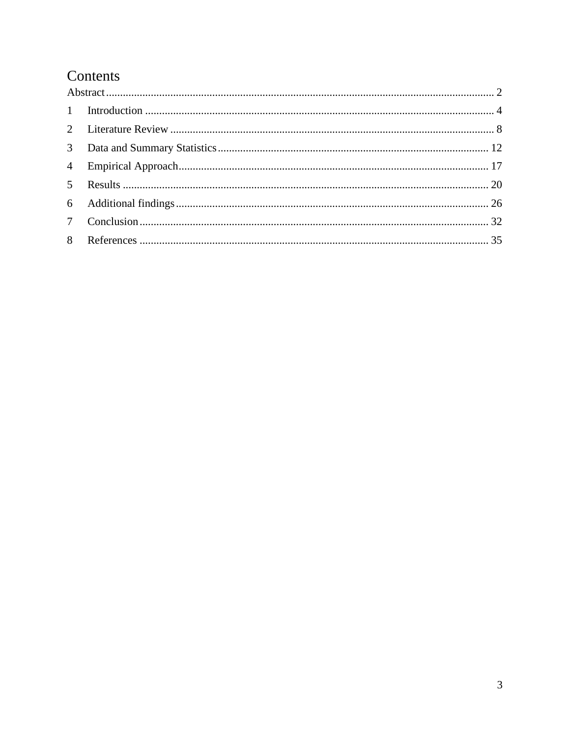# Contents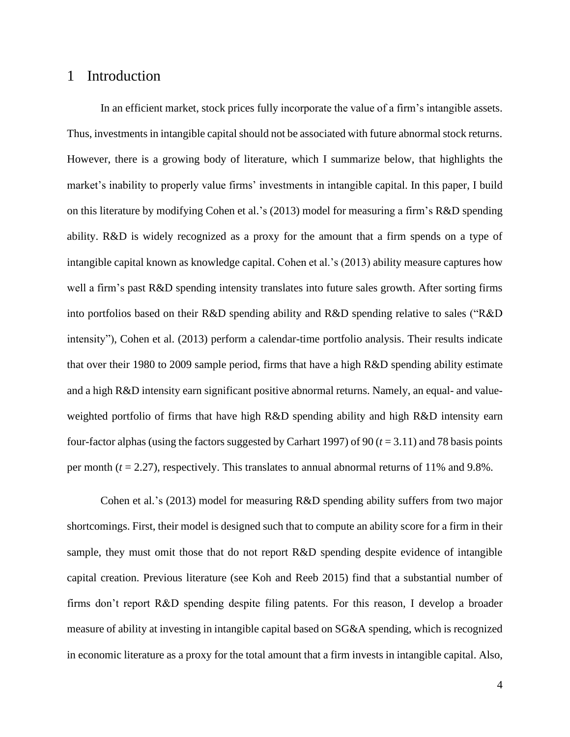#### <span id="page-4-0"></span>1 Introduction

In an efficient market, stock prices fully incorporate the value of a firm's intangible assets. Thus, investments in intangible capital should not be associated with future abnormal stock returns. However, there is a growing body of literature, which I summarize below, that highlights the market's inability to properly value firms' investments in intangible capital. In this paper, I build on this literature by modifying Cohen et al.'s (2013) model for measuring a firm's R&D spending ability. R&D is widely recognized as a proxy for the amount that a firm spends on a type of intangible capital known as knowledge capital. Cohen et al.'s (2013) ability measure captures how well a firm's past R&D spending intensity translates into future sales growth. After sorting firms into portfolios based on their R&D spending ability and R&D spending relative to sales ("R&D intensity"), Cohen et al. (2013) perform a calendar-time portfolio analysis. Their results indicate that over their 1980 to 2009 sample period, firms that have a high R&D spending ability estimate and a high R&D intensity earn significant positive abnormal returns. Namely, an equal- and valueweighted portfolio of firms that have high R&D spending ability and high R&D intensity earn four-factor alphas (using the factors suggested by Carhart 1997) of 90 ( $t = 3.11$ ) and 78 basis points per month  $(t = 2.27)$ , respectively. This translates to annual abnormal returns of 11% and 9.8%.

Cohen et al.'s (2013) model for measuring R&D spending ability suffers from two major shortcomings. First, their model is designed such that to compute an ability score for a firm in their sample, they must omit those that do not report R&D spending despite evidence of intangible capital creation. Previous literature (see Koh and Reeb 2015) find that a substantial number of firms don't report R&D spending despite filing patents. For this reason, I develop a broader measure of ability at investing in intangible capital based on SG&A spending, which is recognized in economic literature as a proxy for the total amount that a firm invests in intangible capital. Also,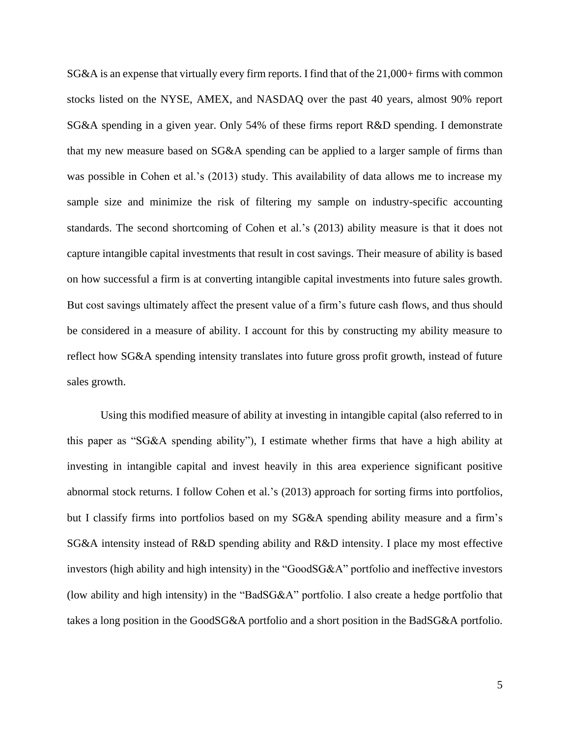SG&A is an expense that virtually every firm reports. I find that of the 21,000+ firms with common stocks listed on the NYSE, AMEX, and NASDAQ over the past 40 years, almost 90% report SG&A spending in a given year. Only 54% of these firms report R&D spending. I demonstrate that my new measure based on SG&A spending can be applied to a larger sample of firms than was possible in Cohen et al.'s (2013) study. This availability of data allows me to increase my sample size and minimize the risk of filtering my sample on industry-specific accounting standards. The second shortcoming of Cohen et al.'s (2013) ability measure is that it does not capture intangible capital investments that result in cost savings. Their measure of ability is based on how successful a firm is at converting intangible capital investments into future sales growth. But cost savings ultimately affect the present value of a firm's future cash flows, and thus should be considered in a measure of ability. I account for this by constructing my ability measure to reflect how SG&A spending intensity translates into future gross profit growth, instead of future sales growth.

Using this modified measure of ability at investing in intangible capital (also referred to in this paper as "SG&A spending ability"), I estimate whether firms that have a high ability at investing in intangible capital and invest heavily in this area experience significant positive abnormal stock returns. I follow Cohen et al.'s (2013) approach for sorting firms into portfolios, but I classify firms into portfolios based on my SG&A spending ability measure and a firm's SG&A intensity instead of R&D spending ability and R&D intensity. I place my most effective investors (high ability and high intensity) in the "GoodSG&A" portfolio and ineffective investors (low ability and high intensity) in the "BadSG&A" portfolio. I also create a hedge portfolio that takes a long position in the GoodSG&A portfolio and a short position in the BadSG&A portfolio.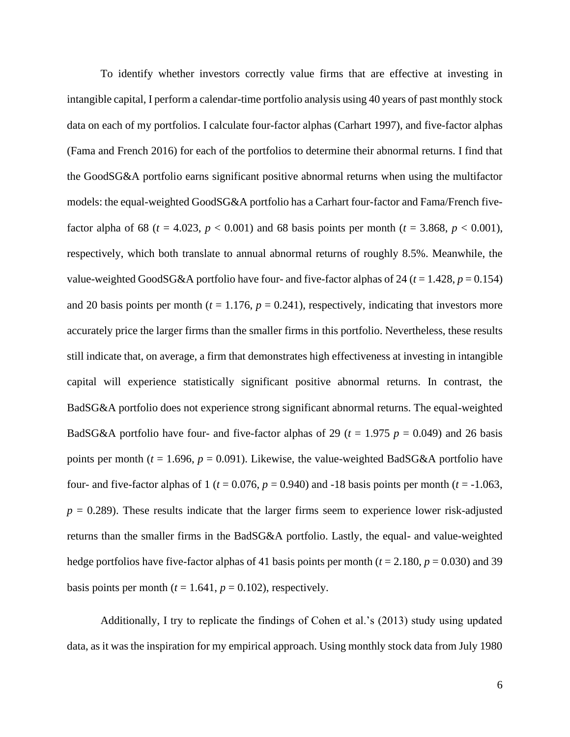To identify whether investors correctly value firms that are effective at investing in intangible capital, I perform a calendar-time portfolio analysis using 40 years of past monthly stock data on each of my portfolios. I calculate four-factor alphas (Carhart 1997), and five-factor alphas (Fama and French 2016) for each of the portfolios to determine their abnormal returns. I find that the GoodSG&A portfolio earns significant positive abnormal returns when using the multifactor models: the equal-weighted GoodSG&A portfolio has a Carhart four-factor and Fama/French fivefactor alpha of 68 ( $t = 4.023$ ,  $p < 0.001$ ) and 68 basis points per month ( $t = 3.868$ ,  $p < 0.001$ ), respectively, which both translate to annual abnormal returns of roughly 8.5%. Meanwhile, the value-weighted GoodSG&A portfolio have four- and five-factor alphas of 24 ( $t = 1.428$ ,  $p = 0.154$ ) and 20 basis points per month  $(t = 1.176, p = 0.241)$ , respectively, indicating that investors more accurately price the larger firms than the smaller firms in this portfolio. Nevertheless, these results still indicate that, on average, a firm that demonstrates high effectiveness at investing in intangible capital will experience statistically significant positive abnormal returns. In contrast, the BadSG&A portfolio does not experience strong significant abnormal returns. The equal-weighted BadSG&A portfolio have four- and five-factor alphas of 29 ( $t = 1.975$   $p = 0.049$ ) and 26 basis points per month ( $t = 1.696$ ,  $p = 0.091$ ). Likewise, the value-weighted BadSG&A portfolio have four- and five-factor alphas of 1 ( $t = 0.076$ ,  $p = 0.940$ ) and -18 basis points per month ( $t = -1.063$ ,  $p = 0.289$ . These results indicate that the larger firms seem to experience lower risk-adjusted returns than the smaller firms in the BadSG&A portfolio. Lastly, the equal- and value-weighted hedge portfolios have five-factor alphas of 41 basis points per month ( $t = 2.180$ ,  $p = 0.030$ ) and 39 basis points per month  $(t = 1.641, p = 0.102)$ , respectively.

Additionally, I try to replicate the findings of Cohen et al.'s (2013) study using updated data, as it was the inspiration for my empirical approach. Using monthly stock data from July 1980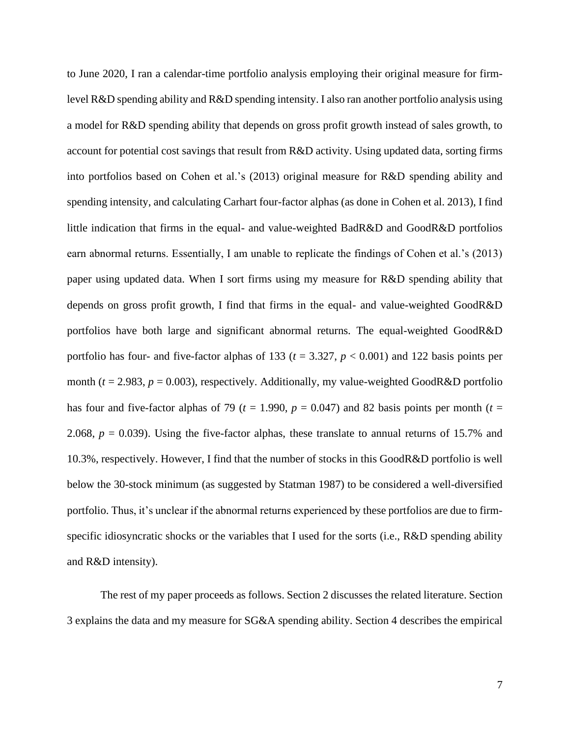to June 2020, I ran a calendar-time portfolio analysis employing their original measure for firmlevel R&D spending ability and R&D spending intensity. I also ran another portfolio analysis using a model for R&D spending ability that depends on gross profit growth instead of sales growth, to account for potential cost savings that result from R&D activity. Using updated data, sorting firms into portfolios based on Cohen et al.'s (2013) original measure for R&D spending ability and spending intensity, and calculating Carhart four-factor alphas (as done in Cohen et al. 2013), I find little indication that firms in the equal- and value-weighted BadR&D and GoodR&D portfolios earn abnormal returns. Essentially, I am unable to replicate the findings of Cohen et al.'s (2013) paper using updated data. When I sort firms using my measure for R&D spending ability that depends on gross profit growth, I find that firms in the equal- and value-weighted GoodR&D portfolios have both large and significant abnormal returns. The equal-weighted GoodR&D portfolio has four- and five-factor alphas of 133 ( $t = 3.327$ ,  $p < 0.001$ ) and 122 basis points per month ( $t = 2.983$ ,  $p = 0.003$ ), respectively. Additionally, my value-weighted GoodR&D portfolio has four and five-factor alphas of 79 ( $t = 1.990$ ,  $p = 0.047$ ) and 82 basis points per month ( $t =$ 2.068,  $p = 0.039$ ). Using the five-factor alphas, these translate to annual returns of 15.7% and 10.3%, respectively. However, I find that the number of stocks in this GoodR&D portfolio is well below the 30-stock minimum (as suggested by Statman 1987) to be considered a well-diversified portfolio. Thus, it's unclear if the abnormal returns experienced by these portfolios are due to firmspecific idiosyncratic shocks or the variables that I used for the sorts (i.e., R&D spending ability and R&D intensity).

The rest of my paper proceeds as follows. Section 2 discusses the related literature. Section 3 explains the data and my measure for SG&A spending ability. Section 4 describes the empirical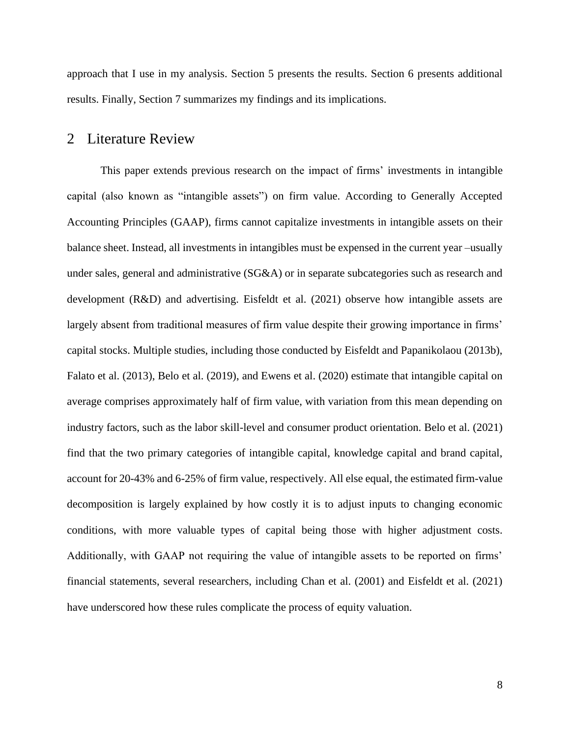approach that I use in my analysis. Section 5 presents the results. Section 6 presents additional results. Finally, Section 7 summarizes my findings and its implications.

### <span id="page-8-0"></span>2 Literature Review

This paper extends previous research on the impact of firms' investments in intangible capital (also known as "intangible assets") on firm value. According to Generally Accepted Accounting Principles (GAAP), firms cannot capitalize investments in intangible assets on their balance sheet. Instead, all investments in intangibles must be expensed in the current year –usually under sales, general and administrative (SG&A) or in separate subcategories such as research and development (R&D) and advertising. Eisfeldt et al. (2021) observe how intangible assets are largely absent from traditional measures of firm value despite their growing importance in firms' capital stocks. Multiple studies, including those conducted by Eisfeldt and Papanikolaou (2013b), Falato et al. (2013), Belo et al. (2019), and Ewens et al. (2020) estimate that intangible capital on average comprises approximately half of firm value, with variation from this mean depending on industry factors, such as the labor skill-level and consumer product orientation. Belo et al. (2021) find that the two primary categories of intangible capital, knowledge capital and brand capital, account for 20-43% and 6-25% of firm value, respectively. All else equal, the estimated firm-value decomposition is largely explained by how costly it is to adjust inputs to changing economic conditions, with more valuable types of capital being those with higher adjustment costs. Additionally, with GAAP not requiring the value of intangible assets to be reported on firms' financial statements, several researchers, including Chan et al. (2001) and Eisfeldt et al. (2021) have underscored how these rules complicate the process of equity valuation.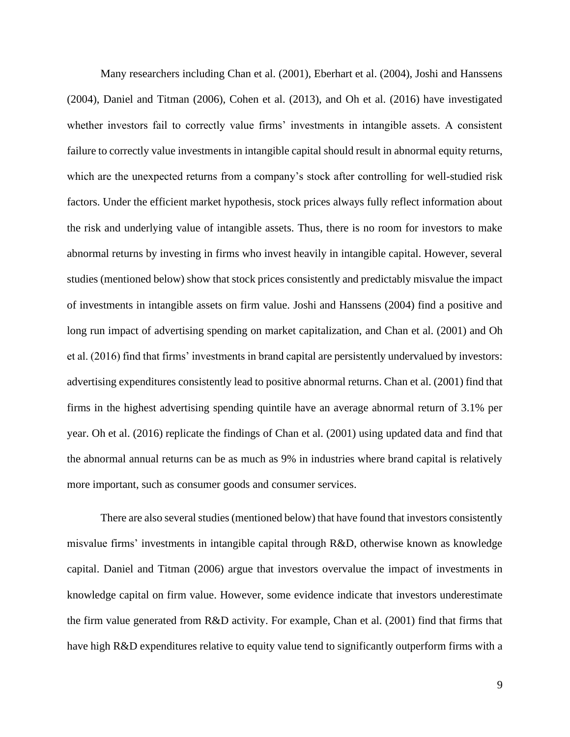Many researchers including Chan et al. (2001), Eberhart et al. (2004), Joshi and Hanssens (2004), Daniel and Titman (2006), Cohen et al. (2013), and Oh et al. (2016) have investigated whether investors fail to correctly value firms' investments in intangible assets. A consistent failure to correctly value investments in intangible capital should result in abnormal equity returns, which are the unexpected returns from a company's stock after controlling for well-studied risk factors. Under the efficient market hypothesis, stock prices always fully reflect information about the risk and underlying value of intangible assets. Thus, there is no room for investors to make abnormal returns by investing in firms who invest heavily in intangible capital. However, several studies (mentioned below) show that stock prices consistently and predictably misvalue the impact of investments in intangible assets on firm value. Joshi and Hanssens (2004) find a positive and long run impact of advertising spending on market capitalization, and Chan et al. (2001) and Oh et al. (2016) find that firms' investments in brand capital are persistently undervalued by investors: advertising expenditures consistently lead to positive abnormal returns. Chan et al. (2001) find that firms in the highest advertising spending quintile have an average abnormal return of 3.1% per year. Oh et al. (2016) replicate the findings of Chan et al. (2001) using updated data and find that the abnormal annual returns can be as much as 9% in industries where brand capital is relatively more important, such as consumer goods and consumer services.

There are also several studies (mentioned below) that have found that investors consistently misvalue firms' investments in intangible capital through R&D, otherwise known as knowledge capital. Daniel and Titman (2006) argue that investors overvalue the impact of investments in knowledge capital on firm value. However, some evidence indicate that investors underestimate the firm value generated from R&D activity. For example, Chan et al. (2001) find that firms that have high R&D expenditures relative to equity value tend to significantly outperform firms with a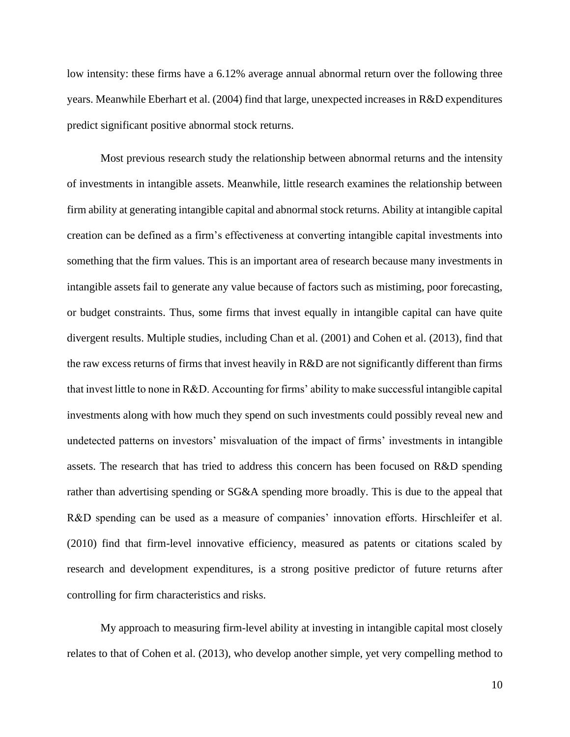low intensity: these firms have a 6.12% average annual abnormal return over the following three years. Meanwhile Eberhart et al. (2004) find that large, unexpected increases in R&D expenditures predict significant positive abnormal stock returns.

Most previous research study the relationship between abnormal returns and the intensity of investments in intangible assets. Meanwhile, little research examines the relationship between firm ability at generating intangible capital and abnormal stock returns. Ability at intangible capital creation can be defined as a firm's effectiveness at converting intangible capital investments into something that the firm values. This is an important area of research because many investments in intangible assets fail to generate any value because of factors such as mistiming, poor forecasting, or budget constraints. Thus, some firms that invest equally in intangible capital can have quite divergent results. Multiple studies, including Chan et al. (2001) and Cohen et al. (2013), find that the raw excess returns of firms that invest heavily in R&D are not significantly different than firms that invest little to none in R&D. Accounting for firms' ability to make successful intangible capital investments along with how much they spend on such investments could possibly reveal new and undetected patterns on investors' misvaluation of the impact of firms' investments in intangible assets. The research that has tried to address this concern has been focused on R&D spending rather than advertising spending or SG&A spending more broadly. This is due to the appeal that R&D spending can be used as a measure of companies' innovation efforts. Hirschleifer et al. (2010) find that firm-level innovative efficiency, measured as patents or citations scaled by research and development expenditures, is a strong positive predictor of future returns after controlling for firm characteristics and risks.

My approach to measuring firm-level ability at investing in intangible capital most closely relates to that of Cohen et al. (2013), who develop another simple, yet very compelling method to

10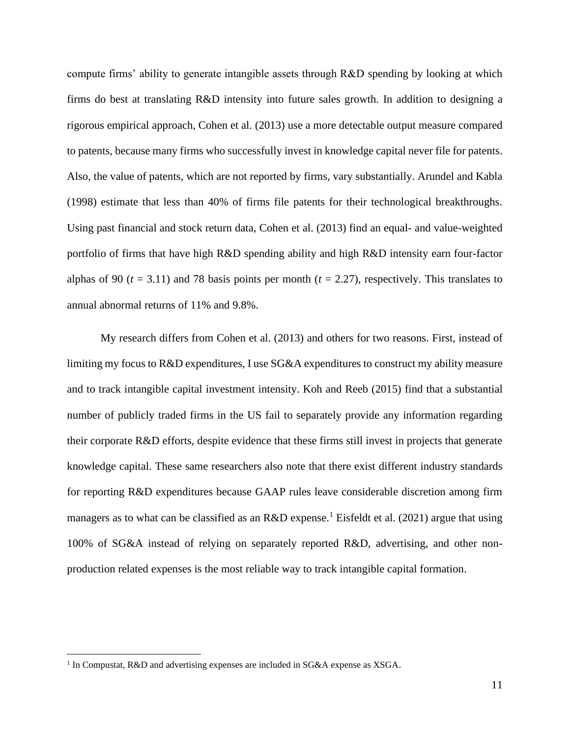compute firms' ability to generate intangible assets through R&D spending by looking at which firms do best at translating R&D intensity into future sales growth. In addition to designing a rigorous empirical approach, Cohen et al. (2013) use a more detectable output measure compared to patents, because many firms who successfully invest in knowledge capital never file for patents. Also, the value of patents, which are not reported by firms, vary substantially. Arundel and Kabla (1998) estimate that less than 40% of firms file patents for their technological breakthroughs. Using past financial and stock return data, Cohen et al. (2013) find an equal- and value-weighted portfolio of firms that have high R&D spending ability and high R&D intensity earn four-factor alphas of 90 ( $t = 3.11$ ) and 78 basis points per month ( $t = 2.27$ ), respectively. This translates to annual abnormal returns of 11% and 9.8%.

My research differs from Cohen et al. (2013) and others for two reasons. First, instead of limiting my focus to R&D expenditures, I use SG&A expenditures to construct my ability measure and to track intangible capital investment intensity. Koh and Reeb (2015) find that a substantial number of publicly traded firms in the US fail to separately provide any information regarding their corporate R&D efforts, despite evidence that these firms still invest in projects that generate knowledge capital. These same researchers also note that there exist different industry standards for reporting R&D expenditures because GAAP rules leave considerable discretion among firm managers as to what can be classified as an R&D expense.<sup>1</sup> Eisfeldt et al. (2021) argue that using 100% of SG&A instead of relying on separately reported R&D, advertising, and other nonproduction related expenses is the most reliable way to track intangible capital formation.

<sup>&</sup>lt;sup>1</sup> In Compustat, R&D and advertising expenses are included in SG&A expense as XSGA.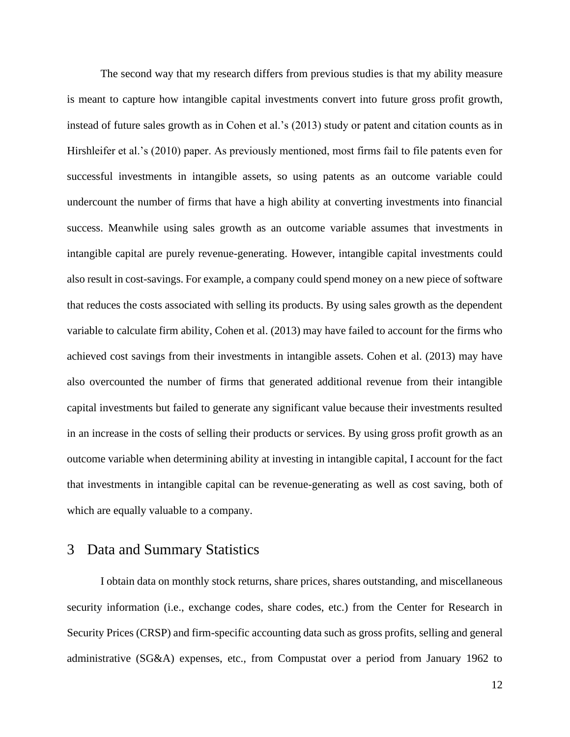The second way that my research differs from previous studies is that my ability measure is meant to capture how intangible capital investments convert into future gross profit growth, instead of future sales growth as in Cohen et al.'s (2013) study or patent and citation counts as in Hirshleifer et al.'s (2010) paper. As previously mentioned, most firms fail to file patents even for successful investments in intangible assets, so using patents as an outcome variable could undercount the number of firms that have a high ability at converting investments into financial success. Meanwhile using sales growth as an outcome variable assumes that investments in intangible capital are purely revenue-generating. However, intangible capital investments could also result in cost-savings. For example, a company could spend money on a new piece of software that reduces the costs associated with selling its products. By using sales growth as the dependent variable to calculate firm ability, Cohen et al. (2013) may have failed to account for the firms who achieved cost savings from their investments in intangible assets. Cohen et al. (2013) may have also overcounted the number of firms that generated additional revenue from their intangible capital investments but failed to generate any significant value because their investments resulted in an increase in the costs of selling their products or services. By using gross profit growth as an outcome variable when determining ability at investing in intangible capital, I account for the fact that investments in intangible capital can be revenue-generating as well as cost saving, both of which are equally valuable to a company.

## <span id="page-12-0"></span>3 Data and Summary Statistics

I obtain data on monthly stock returns, share prices, shares outstanding, and miscellaneous security information (i.e., exchange codes, share codes, etc.) from the Center for Research in Security Prices (CRSP) and firm-specific accounting data such as gross profits, selling and general administrative (SG&A) expenses, etc., from Compustat over a period from January 1962 to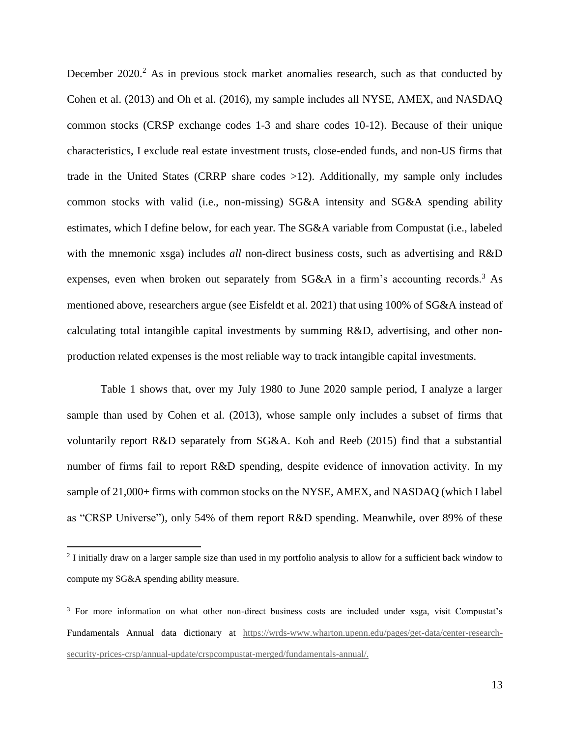December 2020.<sup>2</sup> As in previous stock market anomalies research, such as that conducted by Cohen et al. (2013) and Oh et al. (2016), my sample includes all NYSE, AMEX, and NASDAQ common stocks (CRSP exchange codes 1-3 and share codes 10-12). Because of their unique characteristics, I exclude real estate investment trusts, close-ended funds, and non-US firms that trade in the United States (CRRP share codes >12). Additionally, my sample only includes common stocks with valid (i.e., non-missing) SG&A intensity and SG&A spending ability estimates, which I define below, for each year. The SG&A variable from Compustat (i.e., labeled with the mnemonic xsga) includes *all* non-direct business costs, such as advertising and R&D expenses, even when broken out separately from SG&A in a firm's accounting records.<sup>3</sup> As mentioned above, researchers argue (see Eisfeldt et al. 2021) that using 100% of SG&A instead of calculating total intangible capital investments by summing R&D, advertising, and other nonproduction related expenses is the most reliable way to track intangible capital investments.

Table 1 shows that, over my July 1980 to June 2020 sample period, I analyze a larger sample than used by Cohen et al. (2013), whose sample only includes a subset of firms that voluntarily report R&D separately from SG&A. Koh and Reeb (2015) find that a substantial number of firms fail to report R&D spending, despite evidence of innovation activity. In my sample of 21,000+ firms with common stocks on the NYSE, AMEX, and NASDAQ (which I label as "CRSP Universe"), only 54% of them report R&D spending. Meanwhile, over 89% of these

 $2<sup>2</sup>$  I initially draw on a larger sample size than used in my portfolio analysis to allow for a sufficient back window to compute my SG&A spending ability measure.

<sup>&</sup>lt;sup>3</sup> For more information on what other non-direct business costs are included under xsga, visit Compustat's Fundamentals Annual data dictionary at [https://wrds-www.wharton.upenn.edu/pages/get-data/center-research](https://wrds-www.wharton.upenn.edu/pages/get-data/center-research-security-prices-crsp/annual-update/crspcompustat-merged/fundamentals-annual/)[security-prices-crsp/annual-update/crspcompustat-merged/fundamentals-annual/.](https://wrds-www.wharton.upenn.edu/pages/get-data/center-research-security-prices-crsp/annual-update/crspcompustat-merged/fundamentals-annual/)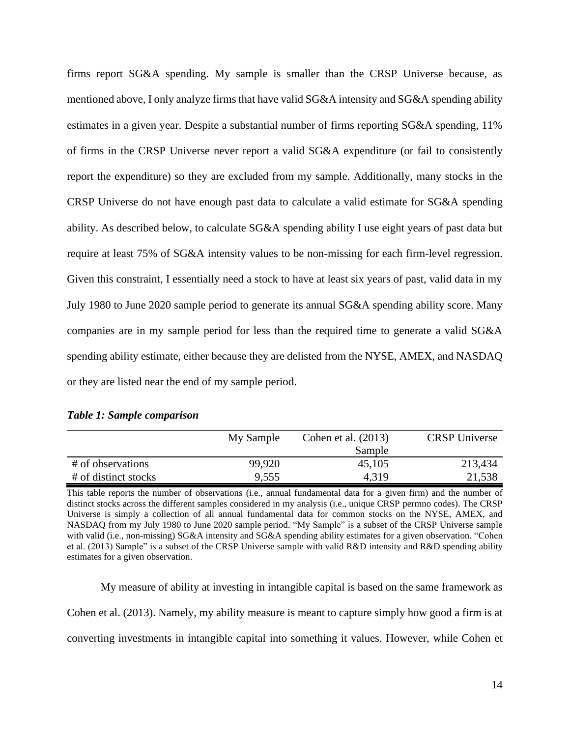firms report SG&A spending. My sample is smaller than the CRSP Universe because, as mentioned above, I only analyze firms that have valid SG&A intensity and SG&A spending ability estimates in a given year. Despite a substantial number of firms reporting SG&A spending, 11% of firms in the CRSP Universe never report a valid SG&A expenditure (or fail to consistently report the expenditure) so they are excluded from my sample. Additionally, many stocks in the CRSP Universe do not have enough past data to calculate a valid estimate for SG&A spending ability. As described below, to calculate SG&A spending ability I use eight years of past data but require at least 75% of SG&A intensity values to be non-missing for each firm-level regression. Given this constraint, I essentially need a stock to have at least six years of past, valid data in my July 1980 to June 2020 sample period to generate its annual SG&A spending ability score. Many companies are in my sample period for less than the required time to generate a valid SG&A spending ability estimate, either because they are delisted from the NYSE, AMEX, and NASDAQ or they are listed near the end of my sample period.

|                      | My Sample | Cohen et al. $(2013)$ | <b>CRSP</b> Universe |
|----------------------|-----------|-----------------------|----------------------|
|                      |           | Sample                |                      |
| # of observations    | 99,920    | 45,105                | 213,434              |
| # of distinct stocks | 9,555     | 4.319                 | 21,538               |

*Table 1: Sample comparison*

This table reports the number of observations (i.e., annual fundamental data for a given firm) and the number of distinct stocks across the different samples considered in my analysis (i.e., unique CRSP permno codes). The CRSP Universe is simply a collection of all annual fundamental data for common stocks on the NYSE, AMEX, and NASDAQ from my July 1980 to June 2020 sample period. "My Sample" is a subset of the CRSP Universe sample with valid (i.e., non-missing) SG&A intensity and SG&A spending ability estimates for a given observation. "Cohen et al. (2013) Sample" is a subset of the CRSP Universe sample with valid R&D intensity and R&D spending ability estimates for a given observation.

My measure of ability at investing in intangible capital is based on the same framework as Cohen et al. (2013). Namely, my ability measure is meant to capture simply how good a firm is at converting investments in intangible capital into something it values. However, while Cohen et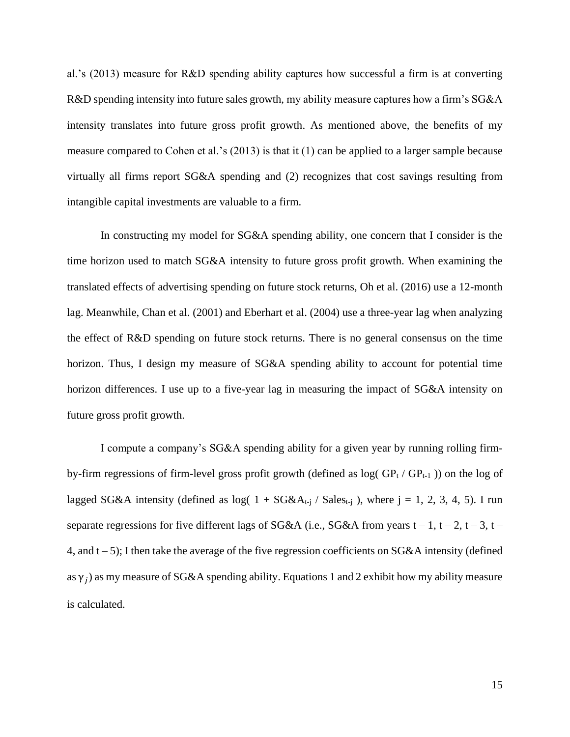al.'s (2013) measure for R&D spending ability captures how successful a firm is at converting R&D spending intensity into future sales growth, my ability measure captures how a firm's SG&A intensity translates into future gross profit growth. As mentioned above, the benefits of my measure compared to Cohen et al.'s (2013) is that it (1) can be applied to a larger sample because virtually all firms report SG&A spending and (2) recognizes that cost savings resulting from intangible capital investments are valuable to a firm.

In constructing my model for SG&A spending ability, one concern that I consider is the time horizon used to match SG&A intensity to future gross profit growth. When examining the translated effects of advertising spending on future stock returns, Oh et al. (2016) use a 12-month lag. Meanwhile, Chan et al. (2001) and Eberhart et al. (2004) use a three-year lag when analyzing the effect of R&D spending on future stock returns. There is no general consensus on the time horizon. Thus, I design my measure of SG&A spending ability to account for potential time horizon differences. I use up to a five-year lag in measuring the impact of SG&A intensity on future gross profit growth.

I compute a company's SG&A spending ability for a given year by running rolling firmby-firm regressions of firm-level gross profit growth (defined as  $log(GP_t/GP_{t-1})$ ) on the log of lagged SG&A intensity (defined as log(  $1 + S G \& A_{t-i}$  / Sales<sub>t-i</sub>), where  $j = 1, 2, 3, 4, 5$ ). I run separate regressions for five different lags of SG&A (i.e., SG&A from years  $t - 1$ ,  $t - 2$ ,  $t - 3$ ,  $t -$ 4, and  $t - 5$ ); I then take the average of the five regression coefficients on SG&A intensity (defined as  $\gamma_j$ ) as my measure of SG&A spending ability. Equations 1 and 2 exhibit how my ability measure is calculated.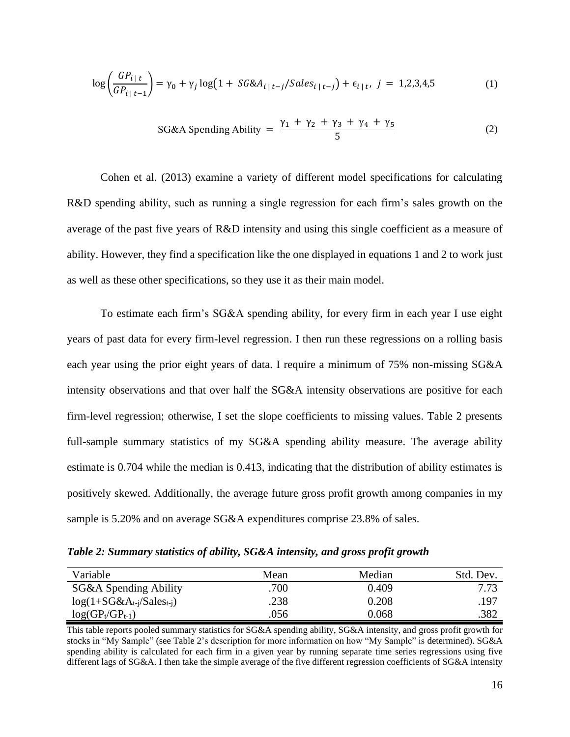$$
\log\left(\frac{GP_{i|t}}{GP_{i|t-1}}\right) = \gamma_0 + \gamma_j \log\left(1 + SG\&A_{i|t-j}/Sales_{i|t-j}\right) + \epsilon_{i|t}, \ j = 1,2,3,4,5
$$
 (1)

SG&A Spending Ability = 
$$
\frac{\gamma_1 + \gamma_2 + \gamma_3 + \gamma_4 + \gamma_5}{5}
$$
 (2)

Cohen et al. (2013) examine a variety of different model specifications for calculating R&D spending ability, such as running a single regression for each firm's sales growth on the average of the past five years of R&D intensity and using this single coefficient as a measure of ability. However, they find a specification like the one displayed in equations 1 and 2 to work just as well as these other specifications, so they use it as their main model.

To estimate each firm's SG&A spending ability, for every firm in each year I use eight years of past data for every firm-level regression. I then run these regressions on a rolling basis each year using the prior eight years of data. I require a minimum of 75% non-missing SG&A intensity observations and that over half the SG&A intensity observations are positive for each firm-level regression; otherwise, I set the slope coefficients to missing values. Table 2 presents full-sample summary statistics of my SG&A spending ability measure. The average ability estimate is 0.704 while the median is 0.413, indicating that the distribution of ability estimates is positively skewed. Additionally, the average future gross profit growth among companies in my sample is 5.20% and on average SG&A expenditures comprise 23.8% of sales.

*Table 2: Summary statistics of ability, SG&A intensity, and gross profit growth*

| Variable                         | Mean | Median | Std. Dev. |
|----------------------------------|------|--------|-----------|
| SG&A Spending Ability            | .700 | 0.409  | 7.73      |
| $log(1+SG\&A_{t-i}/Sales_{t-i})$ | .238 | 0.208  | .197      |
| $log(GP_t/GP_{t-1})$             | .056 | 0.068  | .382      |

This table reports pooled summary statistics for SG&A spending ability, SG&A intensity, and gross profit growth for stocks in "My Sample" (see Table 2's description for more information on how "My Sample" is determined). SG&A spending ability is calculated for each firm in a given year by running separate time series regressions using five different lags of SG&A. I then take the simple average of the five different regression coefficients of SG&A intensity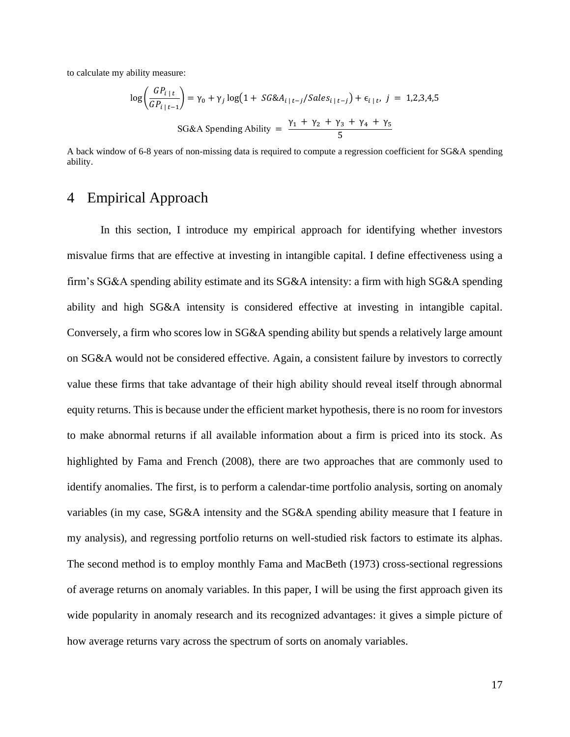to calculate my ability measure:

$$
\log \left( \frac{GP_{i|t}}{GP_{i|t-1}} \right) = \gamma_0 + \gamma_j \log \left( 1 + SG \& A_{i|t-j} / Sales_{i|t-j} \right) + \epsilon_{i|t}, \ j = 1,2,3,4,5
$$
  
SG&A Spending Ability =  $\frac{\gamma_1 + \gamma_2 + \gamma_3 + \gamma_4 + \gamma_5}{5}$ 

A back window of 6-8 years of non-missing data is required to compute a regression coefficient for SG&A spending ability.

### <span id="page-17-0"></span>4 Empirical Approach

In this section, I introduce my empirical approach for identifying whether investors misvalue firms that are effective at investing in intangible capital. I define effectiveness using a firm's SG&A spending ability estimate and its SG&A intensity: a firm with high SG&A spending ability and high SG&A intensity is considered effective at investing in intangible capital. Conversely, a firm who scores low in SG&A spending ability but spends a relatively large amount on SG&A would not be considered effective. Again, a consistent failure by investors to correctly value these firms that take advantage of their high ability should reveal itself through abnormal equity returns. This is because under the efficient market hypothesis, there is no room for investors to make abnormal returns if all available information about a firm is priced into its stock. As highlighted by Fama and French (2008), there are two approaches that are commonly used to identify anomalies. The first, is to perform a calendar-time portfolio analysis, sorting on anomaly variables (in my case, SG&A intensity and the SG&A spending ability measure that I feature in my analysis), and regressing portfolio returns on well-studied risk factors to estimate its alphas. The second method is to employ monthly Fama and MacBeth (1973) cross-sectional regressions of average returns on anomaly variables. In this paper, I will be using the first approach given its wide popularity in anomaly research and its recognized advantages: it gives a simple picture of how average returns vary across the spectrum of sorts on anomaly variables.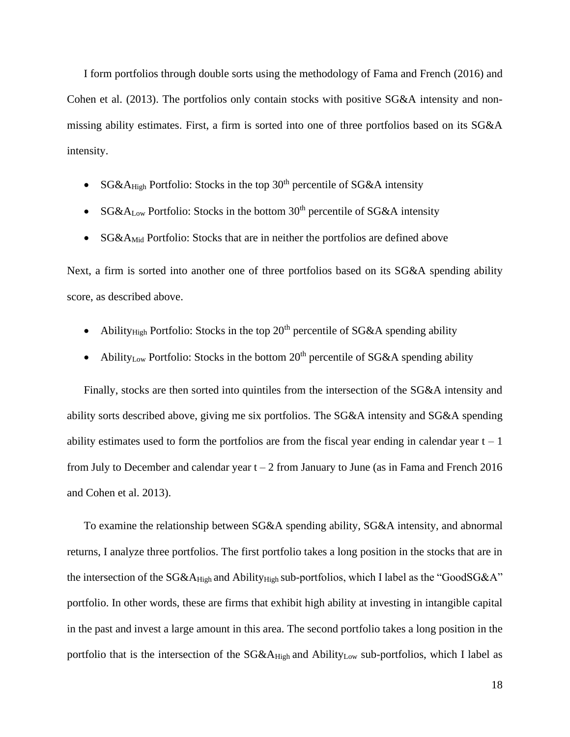I form portfolios through double sorts using the methodology of Fama and French (2016) and Cohen et al. (2013). The portfolios only contain stocks with positive SG&A intensity and nonmissing ability estimates. First, a firm is sorted into one of three portfolios based on its SG&A intensity.

- SG&A<sub>High</sub> Portfolio: Stocks in the top  $30<sup>th</sup>$  percentile of SG&A intensity
- SG&A<sub>Low</sub> Portfolio: Stocks in the bottom 30<sup>th</sup> percentile of SG&A intensity
- $SG&A_{\text{Mid}}$  Portfolio: Stocks that are in neither the portfolios are defined above

Next, a firm is sorted into another one of three portfolios based on its SG&A spending ability score, as described above.

- Ability<sub>High</sub> Portfolio: Stocks in the top  $20<sup>th</sup>$  percentile of SG&A spending ability
- Ability<sub>Low</sub> Portfolio: Stocks in the bottom  $20<sup>th</sup>$  percentile of SG&A spending ability

Finally, stocks are then sorted into quintiles from the intersection of the SG&A intensity and ability sorts described above, giving me six portfolios. The SG&A intensity and SG&A spending ability estimates used to form the portfolios are from the fiscal year ending in calendar year  $t - 1$ from July to December and calendar year  $t - 2$  from January to June (as in Fama and French 2016) and Cohen et al. 2013).

To examine the relationship between SG&A spending ability, SG&A intensity, and abnormal returns, I analyze three portfolios. The first portfolio takes a long position in the stocks that are in the intersection of the SG&A<sub>High</sub> and Ability<sub>High</sub> sub-portfolios, which I label as the "GoodSG&A" portfolio. In other words, these are firms that exhibit high ability at investing in intangible capital in the past and invest a large amount in this area. The second portfolio takes a long position in the portfolio that is the intersection of the SG&A<sub>High</sub> and Ability<sub>Low</sub> sub-portfolios, which I label as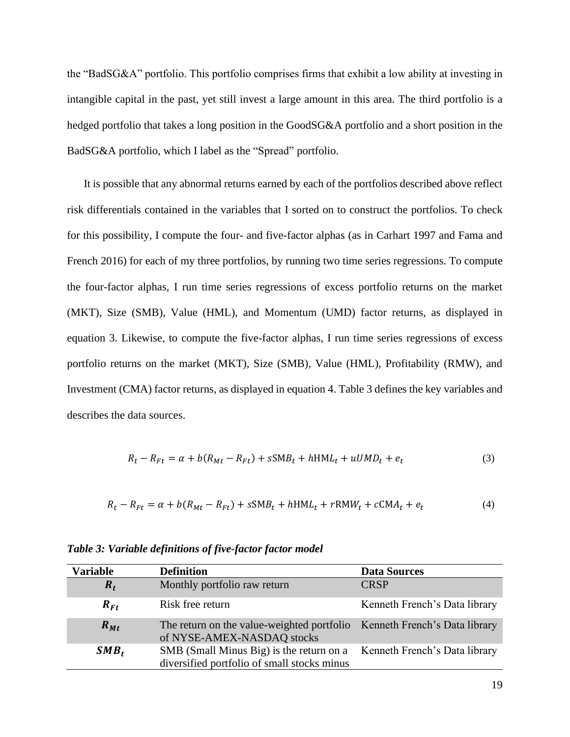the "BadSG&A" portfolio. This portfolio comprises firms that exhibit a low ability at investing in intangible capital in the past, yet still invest a large amount in this area. The third portfolio is a hedged portfolio that takes a long position in the GoodSG&A portfolio and a short position in the BadSG&A portfolio, which I label as the "Spread" portfolio.

It is possible that any abnormal returns earned by each of the portfolios described above reflect risk differentials contained in the variables that I sorted on to construct the portfolios. To check for this possibility, I compute the four- and five-factor alphas (as in Carhart 1997 and Fama and French 2016) for each of my three portfolios, by running two time series regressions. To compute the four-factor alphas, I run time series regressions of excess portfolio returns on the market (MKT), Size (SMB), Value (HML), and Momentum (UMD) factor returns, as displayed in equation 3. Likewise, to compute the five-factor alphas, I run time series regressions of excess portfolio returns on the market (MKT), Size (SMB), Value (HML), Profitability (RMW), and Investment (CMA) factor returns, as displayed in equation 4. Table 3 defines the key variables and describes the data sources.

$$
R_t - R_{Ft} = \alpha + b(R_{Mt} - R_{Ft}) + sSMB_t + hHML_t + uUMD_t + e_t
$$
\n(3)

$$
R_t - R_{Ft} = \alpha + b(R_{Mt} - R_{Ft}) + sSMB_t + hHML_t + rRMW_t + cCMA_t + e_t
$$
\n
$$
\tag{4}
$$

| <b>Variable</b> | <b>Definition</b>                                                                                      | <b>Data Sources</b>           |
|-----------------|--------------------------------------------------------------------------------------------------------|-------------------------------|
| $R_t$           | Monthly portfolio raw return                                                                           | <b>CRSP</b>                   |
| $R_{Ft}$        | Risk free return                                                                                       | Kenneth French's Data library |
| $R_{Mt}$        | The return on the value-weighted portfolio Kenneth French's Data library<br>of NYSE-AMEX-NASDAQ stocks |                               |
| $SMB_t$         | SMB (Small Minus Big) is the return on a<br>diversified portfolio of small stocks minus                | Kenneth French's Data library |

*Table 3: Variable definitions of five-factor factor model*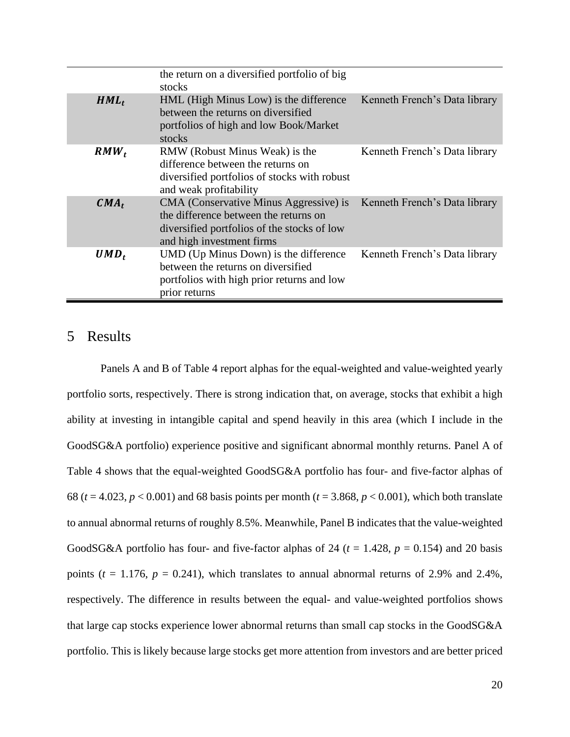|         | the return on a diversified portfolio of big<br>stocks                                                                                                      |                               |
|---------|-------------------------------------------------------------------------------------------------------------------------------------------------------------|-------------------------------|
| $HML_t$ | HML (High Minus Low) is the difference<br>between the returns on diversified<br>portfolios of high and low Book/Market<br>stocks                            | Kenneth French's Data library |
| $RMW_t$ | RMW (Robust Minus Weak) is the<br>difference between the returns on<br>diversified portfolios of stocks with robust<br>and weak profitability               | Kenneth French's Data library |
| $CMA_t$ | CMA (Conservative Minus Aggressive) is<br>the difference between the returns on<br>diversified portfolios of the stocks of low<br>and high investment firms | Kenneth French's Data library |
| $UMD_t$ | UMD (Up Minus Down) is the difference<br>between the returns on diversified<br>portfolios with high prior returns and low<br>prior returns                  | Kenneth French's Data library |

## <span id="page-20-0"></span>5 Results

Panels A and B of Table 4 report alphas for the equal-weighted and value-weighted yearly portfolio sorts, respectively. There is strong indication that, on average, stocks that exhibit a high ability at investing in intangible capital and spend heavily in this area (which I include in the GoodSG&A portfolio) experience positive and significant abnormal monthly returns. Panel A of Table 4 shows that the equal-weighted GoodSG&A portfolio has four- and five-factor alphas of 68 (*t* = 4.023, *p* < 0.001) and 68 basis points per month (*t* = 3.868, *p* < 0.001), which both translate to annual abnormal returns of roughly 8.5%. Meanwhile, Panel B indicates that the value-weighted GoodSG&A portfolio has four- and five-factor alphas of 24 ( $t = 1.428$ ,  $p = 0.154$ ) and 20 basis points ( $t = 1.176$ ,  $p = 0.241$ ), which translates to annual abnormal returns of 2.9% and 2.4%, respectively. The difference in results between the equal- and value-weighted portfolios shows that large cap stocks experience lower abnormal returns than small cap stocks in the GoodSG&A portfolio. This is likely because large stocks get more attention from investors and are better priced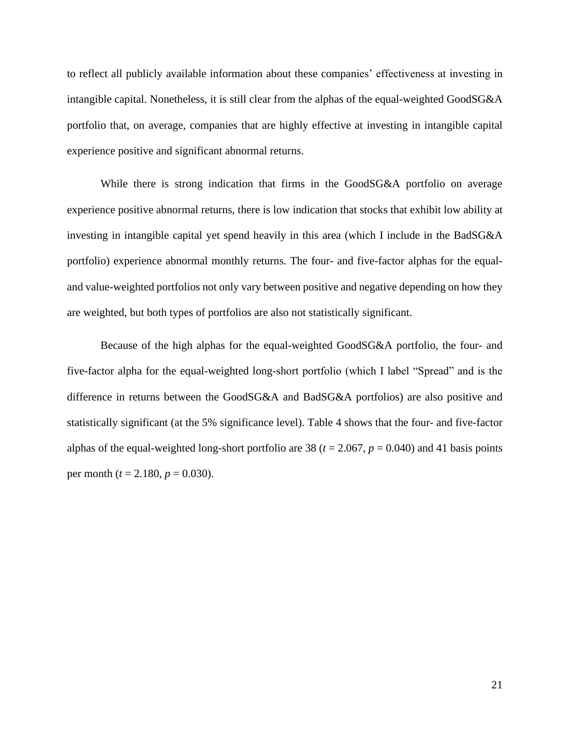to reflect all publicly available information about these companies' effectiveness at investing in intangible capital. Nonetheless, it is still clear from the alphas of the equal-weighted GoodSG&A portfolio that, on average, companies that are highly effective at investing in intangible capital experience positive and significant abnormal returns.

While there is strong indication that firms in the GoodSG&A portfolio on average experience positive abnormal returns, there is low indication that stocks that exhibit low ability at investing in intangible capital yet spend heavily in this area (which I include in the BadSG&A portfolio) experience abnormal monthly returns. The four- and five-factor alphas for the equaland value-weighted portfolios not only vary between positive and negative depending on how they are weighted, but both types of portfolios are also not statistically significant.

Because of the high alphas for the equal-weighted GoodSG&A portfolio, the four- and five-factor alpha for the equal-weighted long-short portfolio (which I label "Spread" and is the difference in returns between the GoodSG&A and BadSG&A portfolios) are also positive and statistically significant (at the 5% significance level). Table 4 shows that the four- and five-factor alphas of the equal-weighted long-short portfolio are 38 ( $t = 2.067$ ,  $p = 0.040$ ) and 41 basis points per month ( $t = 2.180$ ,  $p = 0.030$ ).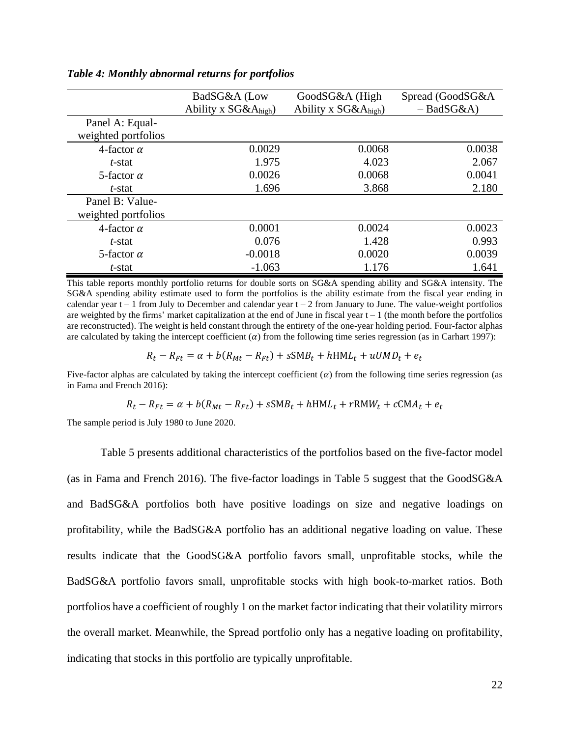#### *Table 4: Monthly abnormal returns for portfolios*

|                     | BadSG&A (Low              | GoodSG&A (High            | Spread (GoodSG&A) |
|---------------------|---------------------------|---------------------------|-------------------|
|                     | Ability x $SG&A_{high}$ ) | Ability x $SG&A_{high}$ ) | $-$ BadSG&A)      |
| Panel A: Equal-     |                           |                           |                   |
| weighted portfolios |                           |                           |                   |
| 4-factor $\alpha$   | 0.0029                    | 0.0068                    | 0.0038            |
| t-stat              | 1.975                     | 4.023                     | 2.067             |
| 5-factor $\alpha$   | 0.0026                    | 0.0068                    | 0.0041            |
| t-stat              | 1.696                     | 3.868                     | 2.180             |
| Panel B: Value-     |                           |                           |                   |
| weighted portfolios |                           |                           |                   |
| 4-factor $\alpha$   | 0.0001                    | 0.0024                    | 0.0023            |
| t-stat              | 0.076                     | 1.428                     | 0.993             |
| 5-factor $\alpha$   | $-0.0018$                 | 0.0020                    | 0.0039            |
| t-stat              | $-1.063$                  | 1.176                     | 1.641             |

This table reports monthly portfolio returns for double sorts on SG&A spending ability and SG&A intensity. The SG&A spending ability estimate used to form the portfolios is the ability estimate from the fiscal year ending in calendar year  $t - 1$  from July to December and calendar year  $t - 2$  from January to June. The value-weight portfolios are weighted by the firms' market capitalization at the end of June in fiscal year  $t - 1$  (the month before the portfolios are reconstructed). The weight is held constant through the entirety of the one-year holding period. Four-factor alphas are calculated by taking the intercept coefficient ( $\alpha$ ) from the following time series regression (as in Carhart 1997):

$$
R_t - R_{Ft} = \alpha + b(R_{Mt} - R_{Ft}) + sSMB_t + hHML_t + uUMD_t + e_t
$$

Five-factor alphas are calculated by taking the intercept coefficient ( $\alpha$ ) from the following time series regression (as in Fama and French 2016):

$$
R_t - R_{Ft} = \alpha + b(R_{Mt} - R_{Ft}) + sSMB_t + hHML_t + rRMW_t + cCMA_t + e_t
$$

The sample period is July 1980 to June 2020.

Table 5 presents additional characteristics of the portfolios based on the five-factor model (as in Fama and French 2016). The five-factor loadings in Table 5 suggest that the GoodSG&A and BadSG&A portfolios both have positive loadings on size and negative loadings on profitability, while the BadSG&A portfolio has an additional negative loading on value. These results indicate that the GoodSG&A portfolio favors small, unprofitable stocks, while the BadSG&A portfolio favors small, unprofitable stocks with high book-to-market ratios. Both portfolios have a coefficient of roughly 1 on the market factor indicating that their volatility mirrors the overall market. Meanwhile, the Spread portfolio only has a negative loading on profitability, indicating that stocks in this portfolio are typically unprofitable.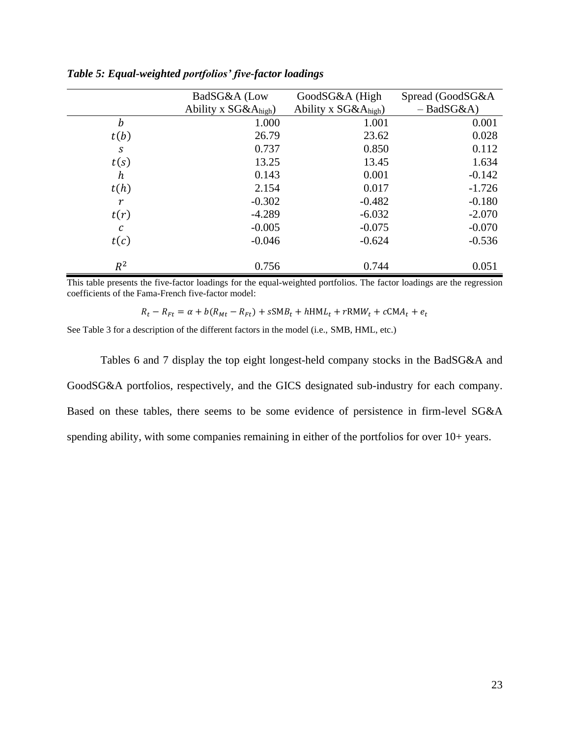|                   | BadSG&A (Low              | GoodSG&A (High            | Spread (GoodSG&A |
|-------------------|---------------------------|---------------------------|------------------|
|                   | Ability x $SG&A_{high}$ ) | Ability x $SG&A_{high}$ ) | $-$ BadSG&A)     |
| b                 | 1.000                     | 1.001                     | 0.001            |
| t(b)              | 26.79                     | 23.62                     | 0.028            |
| $\boldsymbol{S}$  | 0.737                     | 0.850                     | 0.112            |
| t(s)              | 13.25                     | 13.45                     | 1.634            |
| h                 | 0.143                     | 0.001                     | $-0.142$         |
| t(h)              | 2.154                     | 0.017                     | $-1.726$         |
| $\boldsymbol{r}$  | $-0.302$                  | $-0.482$                  | $-0.180$         |
| t(r)              | $-4.289$                  | $-6.032$                  | $-2.070$         |
| $\mathcal{C}_{0}$ | $-0.005$                  | $-0.075$                  | $-0.070$         |
| t(c)              | $-0.046$                  | $-0.624$                  | $-0.536$         |
| $R^2$             | 0.756                     | 0.744                     | 0.051            |

*Table 5: Equal-weighted portfolios' five-factor loadings*

This table presents the five-factor loadings for the equal-weighted portfolios. The factor loadings are the regression coefficients of the Fama-French five-factor model:

$$
R_t - R_{Ft} = \alpha + b(R_{Mt} - R_{Ft}) + sSMB_t + hHML_t + rRMW_t + cCMA_t + e_t
$$

See Table 3 for a description of the different factors in the model (i.e., SMB, HML, etc.)

Tables 6 and 7 display the top eight longest-held company stocks in the BadSG&A and GoodSG&A portfolios, respectively, and the GICS designated sub-industry for each company. Based on these tables, there seems to be some evidence of persistence in firm-level SG&A spending ability, with some companies remaining in either of the portfolios for over  $10+$  years.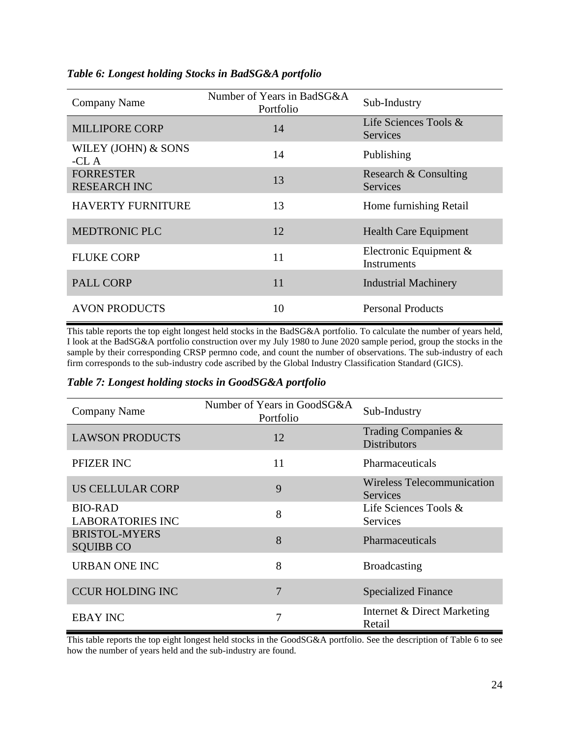| <b>Company Name</b>                     | Number of Years in BadSG&A<br>Portfolio | Sub-Industry                                 |
|-----------------------------------------|-----------------------------------------|----------------------------------------------|
| <b>MILLIPORE CORP</b>                   | 14                                      | Life Sciences Tools &<br><b>Services</b>     |
| WILEY (JOHN) & SONS<br>-CL $A$          | 14                                      | Publishing                                   |
| <b>FORRESTER</b><br><b>RESEARCH INC</b> | 13                                      | Research & Consulting<br><b>Services</b>     |
| <b>HAVERTY FURNITURE</b>                | 13                                      | Home furnishing Retail                       |
| <b>MEDTRONIC PLC</b>                    | 12                                      | <b>Health Care Equipment</b>                 |
| <b>FLUKE CORP</b>                       | 11                                      | Electronic Equipment &<br><b>Instruments</b> |
| <b>PALL CORP</b>                        | 11                                      | <b>Industrial Machinery</b>                  |
| <b>AVON PRODUCTS</b>                    | 10                                      | <b>Personal Products</b>                     |

*Table 6: Longest holding Stocks in BadSG&A portfolio*

This table reports the top eight longest held stocks in the BadSG&A portfolio. To calculate the number of years held, I look at the BadSG&A portfolio construction over my July 1980 to June 2020 sample period, group the stocks in the sample by their corresponding CRSP permno code, and count the number of observations. The sub-industry of each firm corresponds to the sub-industry code ascribed by the Global Industry Classification Standard (GICS).

| Table 7: Longest holding stocks in GoodSG&A portfolio |  |  |
|-------------------------------------------------------|--|--|
|-------------------------------------------------------|--|--|

| <b>Company Name</b>                       | Number of Years in GoodSG&A<br>Portfolio | Sub-Industry                               |
|-------------------------------------------|------------------------------------------|--------------------------------------------|
| <b>LAWSON PRODUCTS</b>                    | 12                                       | Trading Companies &<br><b>Distributors</b> |
| PFIZER INC                                | 11                                       | <b>Pharmaceuticals</b>                     |
| <b>US CELLULAR CORP</b>                   | 9                                        | Wireless Telecommunication<br>Services     |
| <b>BIO-RAD</b><br><b>LABORATORIES INC</b> | 8                                        | Life Sciences Tools &<br><b>Services</b>   |
| <b>BRISTOL-MYERS</b><br><b>SQUIBB CO</b>  | 8                                        | Pharmaceuticals                            |
| <b>URBAN ONE INC</b>                      | 8                                        | <b>Broadcasting</b>                        |
| <b>CCUR HOLDING INC</b>                   | 7                                        | <b>Specialized Finance</b>                 |
| <b>EBAY INC</b>                           | 7                                        | Internet & Direct Marketing<br>Retail      |

This table reports the top eight longest held stocks in the GoodSG&A portfolio. See the description of Table 6 to see how the number of years held and the sub-industry are found.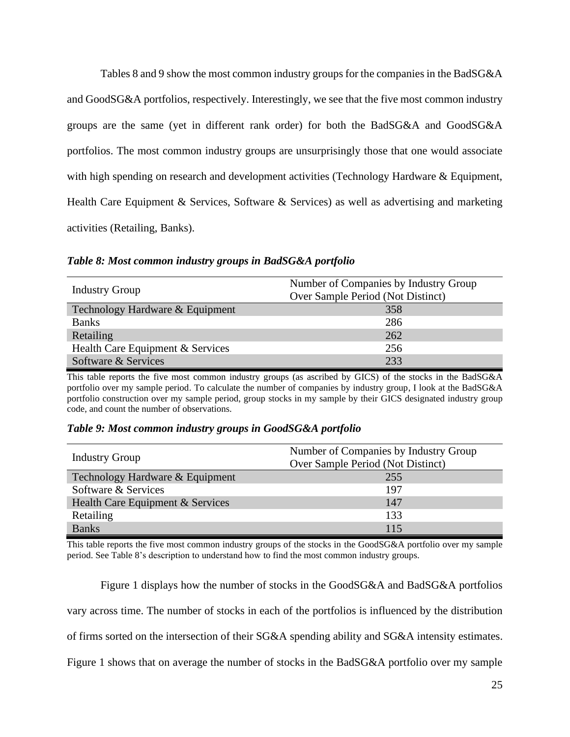Tables 8 and 9 show the most common industry groups for the companies in the BadSG&A and GoodSG&A portfolios, respectively. Interestingly, we see that the five most common industry groups are the same (yet in different rank order) for both the BadSG&A and GoodSG&A portfolios. The most common industry groups are unsurprisingly those that one would associate with high spending on research and development activities (Technology Hardware & Equipment, Health Care Equipment & Services, Software & Services) as well as advertising and marketing activities (Retailing, Banks).

*Table 8: Most common industry groups in BadSG&A portfolio*

| <b>Industry Group</b>            | Number of Companies by Industry Group<br>Over Sample Period (Not Distinct) |
|----------------------------------|----------------------------------------------------------------------------|
| Technology Hardware & Equipment  | 358                                                                        |
| <b>Banks</b>                     | 286                                                                        |
| Retailing                        | 262                                                                        |
| Health Care Equipment & Services | 256                                                                        |
| Software & Services              | 233                                                                        |

This table reports the five most common industry groups (as ascribed by GICS) of the stocks in the BadSG&A portfolio over my sample period. To calculate the number of companies by industry group, I look at the BadSG&A portfolio construction over my sample period, group stocks in my sample by their GICS designated industry group code, and count the number of observations.

*Table 9: Most common industry groups in GoodSG&A portfolio*

| <b>Industry Group</b>            | Number of Companies by Industry Group<br>Over Sample Period (Not Distinct) |
|----------------------------------|----------------------------------------------------------------------------|
| Technology Hardware & Equipment  | 255                                                                        |
| Software & Services              | 197                                                                        |
| Health Care Equipment & Services | 147                                                                        |
| Retailing                        | 133                                                                        |
| <b>Banks</b>                     | 115                                                                        |

This table reports the five most common industry groups of the stocks in the GoodSG&A portfolio over my sample period. See Table 8's description to understand how to find the most common industry groups.

Figure 1 displays how the number of stocks in the GoodSG&A and BadSG&A portfolios vary across time. The number of stocks in each of the portfolios is influenced by the distribution of firms sorted on the intersection of their SG&A spending ability and SG&A intensity estimates. Figure 1 shows that on average the number of stocks in the BadSG&A portfolio over my sample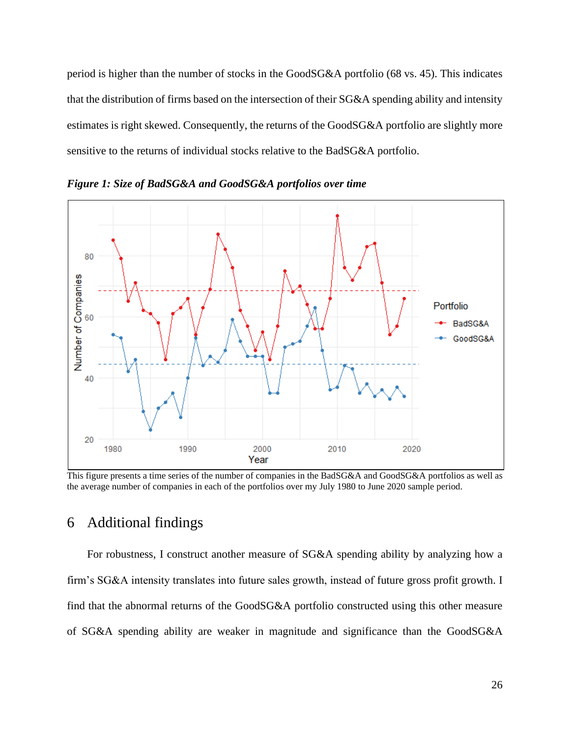period is higher than the number of stocks in the GoodSG&A portfolio (68 vs. 45). This indicates that the distribution of firms based on the intersection of their SG&A spending ability and intensity estimates is right skewed. Consequently, the returns of the GoodSG&A portfolio are slightly more sensitive to the returns of individual stocks relative to the BadSG&A portfolio.



*Figure 1: Size of BadSG&A and GoodSG&A portfolios over time*

This figure presents a time series of the number of companies in the BadSG&A and GoodSG&A portfolios as well as the average number of companies in each of the portfolios over my July 1980 to June 2020 sample period.

## <span id="page-26-0"></span>6 Additional findings

For robustness, I construct another measure of SG&A spending ability by analyzing how a firm's SG&A intensity translates into future sales growth, instead of future gross profit growth. I find that the abnormal returns of the GoodSG&A portfolio constructed using this other measure of SG&A spending ability are weaker in magnitude and significance than the GoodSG&A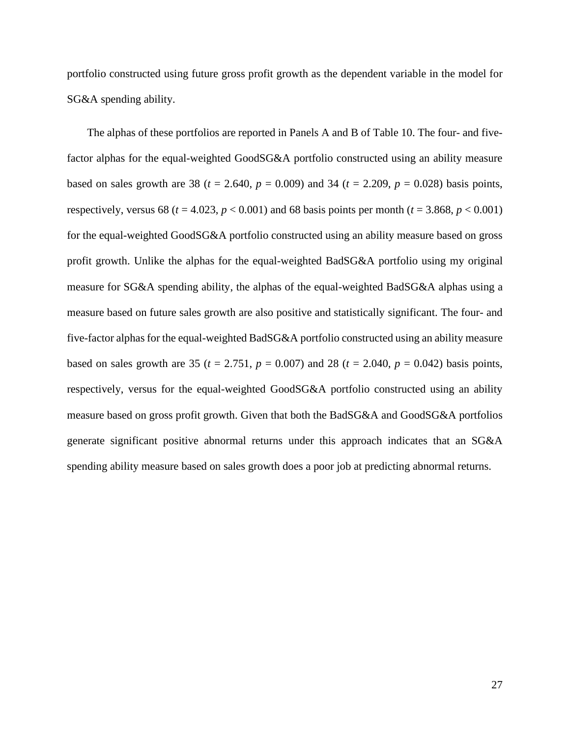portfolio constructed using future gross profit growth as the dependent variable in the model for SG&A spending ability.

The alphas of these portfolios are reported in Panels A and B of Table 10. The four- and fivefactor alphas for the equal-weighted GoodSG&A portfolio constructed using an ability measure based on sales growth are 38 ( $t = 2.640$ ,  $p = 0.009$ ) and 34 ( $t = 2.209$ ,  $p = 0.028$ ) basis points, respectively, versus 68 ( $t = 4.023$ ,  $p < 0.001$ ) and 68 basis points per month ( $t = 3.868$ ,  $p < 0.001$ ) for the equal-weighted GoodSG&A portfolio constructed using an ability measure based on gross profit growth. Unlike the alphas for the equal-weighted BadSG&A portfolio using my original measure for SG&A spending ability, the alphas of the equal-weighted BadSG&A alphas using a measure based on future sales growth are also positive and statistically significant. The four- and five-factor alphas for the equal-weighted BadSG&A portfolio constructed using an ability measure based on sales growth are 35 ( $t = 2.751$ ,  $p = 0.007$ ) and 28 ( $t = 2.040$ ,  $p = 0.042$ ) basis points, respectively, versus for the equal-weighted GoodSG&A portfolio constructed using an ability measure based on gross profit growth. Given that both the BadSG&A and GoodSG&A portfolios generate significant positive abnormal returns under this approach indicates that an SG&A spending ability measure based on sales growth does a poor job at predicting abnormal returns.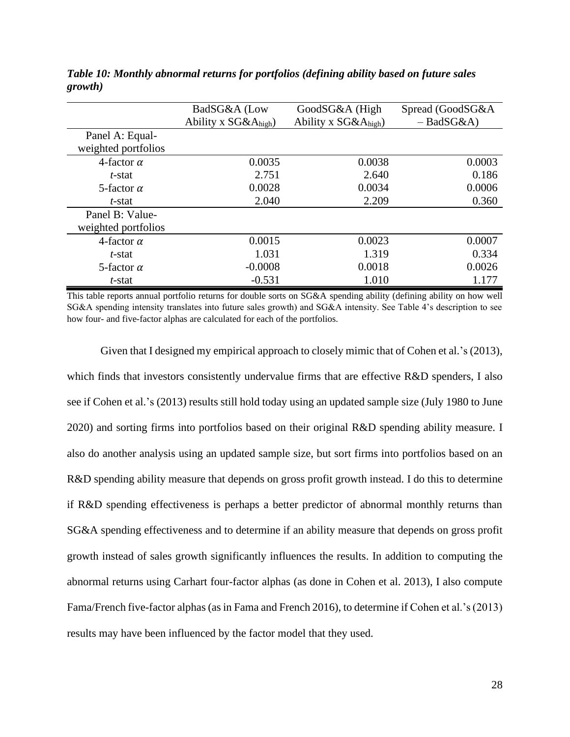|                     | BadSG&A (Low              | GoodSG&A (High         | Spread (GoodSG&A |
|---------------------|---------------------------|------------------------|------------------|
|                     | Ability x $SG&A_{high}$ ) | Ability x $SG&Ahigh$ ) | $-$ BadSG&A)     |
| Panel A: Equal-     |                           |                        |                  |
| weighted portfolios |                           |                        |                  |
| 4-factor $\alpha$   | 0.0035                    | 0.0038                 | 0.0003           |
| t-stat              | 2.751                     | 2.640                  | 0.186            |
| 5-factor $\alpha$   | 0.0028                    | 0.0034                 | 0.0006           |
| t-stat              | 2.040                     | 2.209                  | 0.360            |
| Panel B: Value-     |                           |                        |                  |
| weighted portfolios |                           |                        |                  |
| 4-factor $\alpha$   | 0.0015                    | 0.0023                 | 0.0007           |
| t-stat              | 1.031                     | 1.319                  | 0.334            |
| 5-factor $\alpha$   | $-0.0008$                 | 0.0018                 | 0.0026           |
| t-stat              | $-0.531$                  | 1.010                  | 1.177            |

*Table 10: Monthly abnormal returns for portfolios (defining ability based on future sales growth)*

This table reports annual portfolio returns for double sorts on SG&A spending ability (defining ability on how well SG&A spending intensity translates into future sales growth) and SG&A intensity. See Table 4's description to see how four- and five-factor alphas are calculated for each of the portfolios.

Given that I designed my empirical approach to closely mimic that of Cohen et al.'s (2013), which finds that investors consistently undervalue firms that are effective R&D spenders, I also see if Cohen et al.'s (2013) results still hold today using an updated sample size (July 1980 to June 2020) and sorting firms into portfolios based on their original R&D spending ability measure. I also do another analysis using an updated sample size, but sort firms into portfolios based on an R&D spending ability measure that depends on gross profit growth instead. I do this to determine if R&D spending effectiveness is perhaps a better predictor of abnormal monthly returns than SG&A spending effectiveness and to determine if an ability measure that depends on gross profit growth instead of sales growth significantly influences the results. In addition to computing the abnormal returns using Carhart four-factor alphas (as done in Cohen et al. 2013), I also compute Fama/French five-factor alphas (as in Fama and French 2016), to determine if Cohen et al.'s (2013) results may have been influenced by the factor model that they used.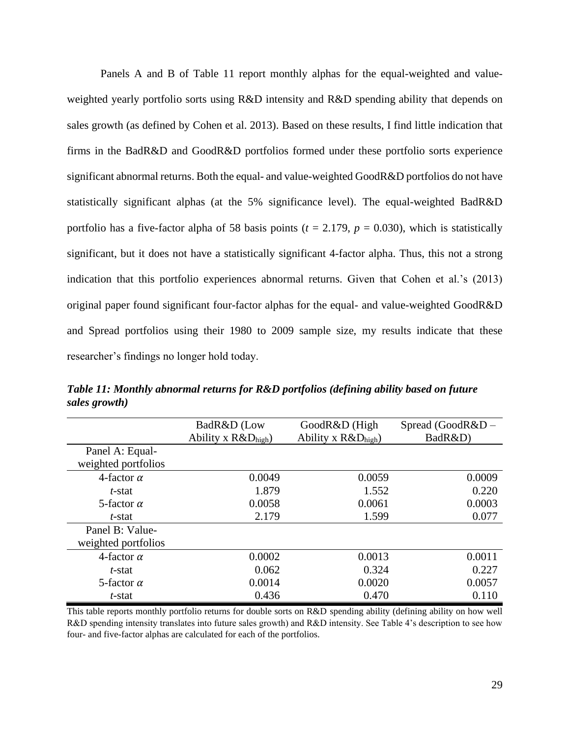Panels A and B of Table 11 report monthly alphas for the equal-weighted and valueweighted yearly portfolio sorts using R&D intensity and R&D spending ability that depends on sales growth (as defined by Cohen et al. 2013). Based on these results, I find little indication that firms in the BadR&D and GoodR&D portfolios formed under these portfolio sorts experience significant abnormal returns. Both the equal- and value-weighted GoodR&D portfolios do not have statistically significant alphas (at the 5% significance level). The equal-weighted BadR&D portfolio has a five-factor alpha of 58 basis points ( $t = 2.179$ ,  $p = 0.030$ ), which is statistically significant, but it does not have a statistically significant 4-factor alpha. Thus, this not a strong indication that this portfolio experiences abnormal returns. Given that Cohen et al.'s (2013) original paper found significant four-factor alphas for the equal- and value-weighted GoodR&D and Spread portfolios using their 1980 to 2009 sample size, my results indicate that these researcher's findings no longer hold today.

|                                        | BadR&D (Low                     | GoodR&D (High        | Spread (GoodR&D - |
|----------------------------------------|---------------------------------|----------------------|-------------------|
|                                        | Ability x $R&D_{\text{high}}$ ) | Ability x $R\&Dhigh$ | BadR&D)           |
| Panel A: Equal-<br>weighted portfolios |                                 |                      |                   |
| 4-factor $\alpha$                      | 0.0049                          | 0.0059               | 0.0009            |
| t-stat                                 | 1.879                           | 1.552                | 0.220             |
| 5-factor $\alpha$                      | 0.0058                          | 0.0061               | 0.0003            |
| t-stat                                 | 2.179                           | 1.599                | 0.077             |
| Panel B: Value-                        |                                 |                      |                   |
| weighted portfolios                    |                                 |                      |                   |
| 4-factor $\alpha$                      | 0.0002                          | 0.0013               | 0.0011            |
| t-stat                                 | 0.062                           | 0.324                | 0.227             |
| 5-factor $\alpha$                      | 0.0014                          | 0.0020               | 0.0057            |
| t-stat                                 | 0.436                           | 0.470                | 0.110             |

*Table 11: Monthly abnormal returns for R&D portfolios (defining ability based on future sales growth)*

This table reports monthly portfolio returns for double sorts on R&D spending ability (defining ability on how well R&D spending intensity translates into future sales growth) and R&D intensity. See Table 4's description to see how four- and five-factor alphas are calculated for each of the portfolios.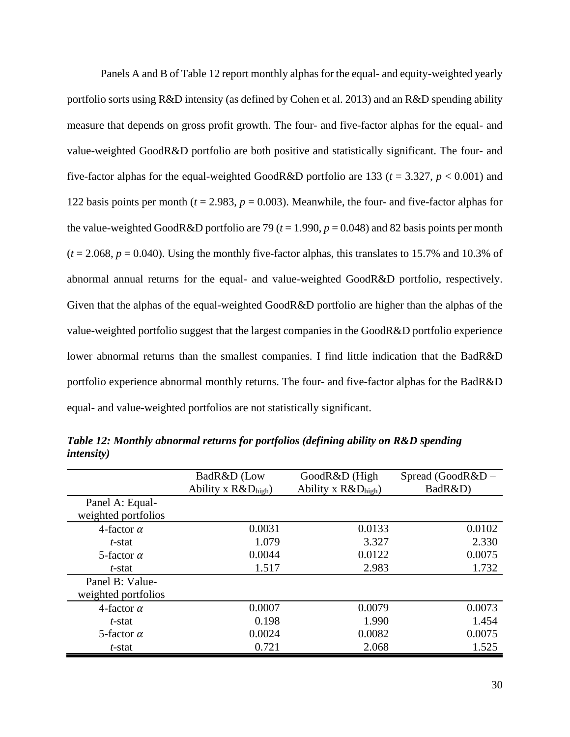Panels A and B of Table 12 report monthly alphas for the equal- and equity-weighted yearly portfolio sorts using R&D intensity (as defined by Cohen et al. 2013) and an R&D spending ability measure that depends on gross profit growth. The four- and five-factor alphas for the equal- and value-weighted GoodR&D portfolio are both positive and statistically significant. The four- and five-factor alphas for the equal-weighted GoodR&D portfolio are 133 (*t* = 3.327, *p* < 0.001) and 122 basis points per month ( $t = 2.983$ ,  $p = 0.003$ ). Meanwhile, the four- and five-factor alphas for the value-weighted GoodR&D portfolio are 79 ( $t = 1.990$ ,  $p = 0.048$ ) and 82 basis points per month  $(t = 2.068, p = 0.040)$ . Using the monthly five-factor alphas, this translates to 15.7% and 10.3% of abnormal annual returns for the equal- and value-weighted GoodR&D portfolio, respectively. Given that the alphas of the equal-weighted GoodR&D portfolio are higher than the alphas of the value-weighted portfolio suggest that the largest companies in the GoodR&D portfolio experience lower abnormal returns than the smallest companies. I find little indication that the BadR&D portfolio experience abnormal monthly returns. The four- and five-factor alphas for the BadR&D equal- and value-weighted portfolios are not statistically significant.

|                     | BadR&D (Low          | GoodR&D (High                    | Spread (GoodR&D - |
|---------------------|----------------------|----------------------------------|-------------------|
|                     | Ability x $R\&Dhigh$ | Ability x $R\&D_{\text{high}}$ ) | BadR&D)           |
| Panel A: Equal-     |                      |                                  |                   |
| weighted portfolios |                      |                                  |                   |
| 4-factor $\alpha$   | 0.0031               | 0.0133                           | 0.0102            |
| t-stat              | 1.079                | 3.327                            | 2.330             |
| 5-factor $\alpha$   | 0.0044               | 0.0122                           | 0.0075            |
| t-stat              | 1.517                | 2.983                            | 1.732             |
| Panel B: Value-     |                      |                                  |                   |
| weighted portfolios |                      |                                  |                   |
| 4-factor $\alpha$   | 0.0007               | 0.0079                           | 0.0073            |
| t-stat              | 0.198                | 1.990                            | 1.454             |
| 5-factor $\alpha$   | 0.0024               | 0.0082                           | 0.0075            |
| t-stat              | 0.721                | 2.068                            | 1.525             |

*Table 12: Monthly abnormal returns for portfolios (defining ability on R&D spending intensity)*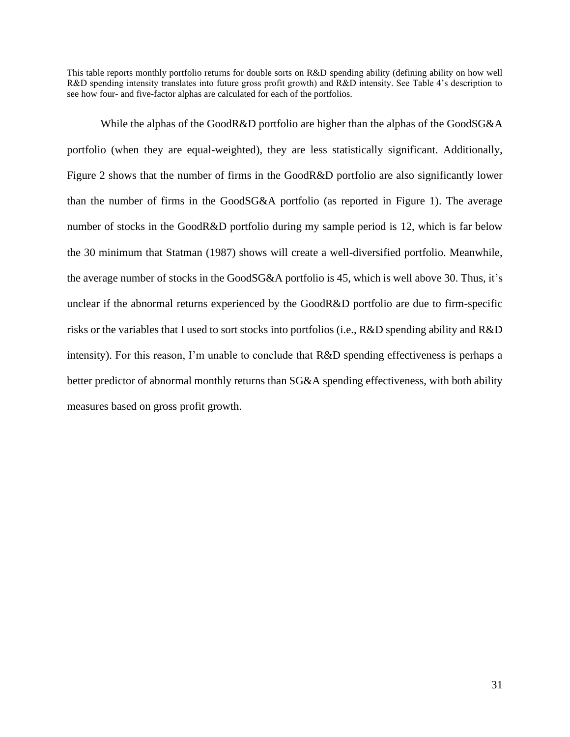This table reports monthly portfolio returns for double sorts on R&D spending ability (defining ability on how well R&D spending intensity translates into future gross profit growth) and R&D intensity. See Table 4's description to see how four- and five-factor alphas are calculated for each of the portfolios.

While the alphas of the GoodR&D portfolio are higher than the alphas of the GoodSG&A portfolio (when they are equal-weighted), they are less statistically significant. Additionally, Figure 2 shows that the number of firms in the GoodR&D portfolio are also significantly lower than the number of firms in the GoodSG&A portfolio (as reported in Figure 1). The average number of stocks in the GoodR&D portfolio during my sample period is 12, which is far below the 30 minimum that Statman (1987) shows will create a well-diversified portfolio. Meanwhile, the average number of stocks in the GoodSG&A portfolio is 45, which is well above 30. Thus, it's unclear if the abnormal returns experienced by the GoodR&D portfolio are due to firm-specific risks or the variables that I used to sort stocks into portfolios (i.e., R&D spending ability and R&D intensity). For this reason, I'm unable to conclude that R&D spending effectiveness is perhaps a better predictor of abnormal monthly returns than SG&A spending effectiveness, with both ability measures based on gross profit growth.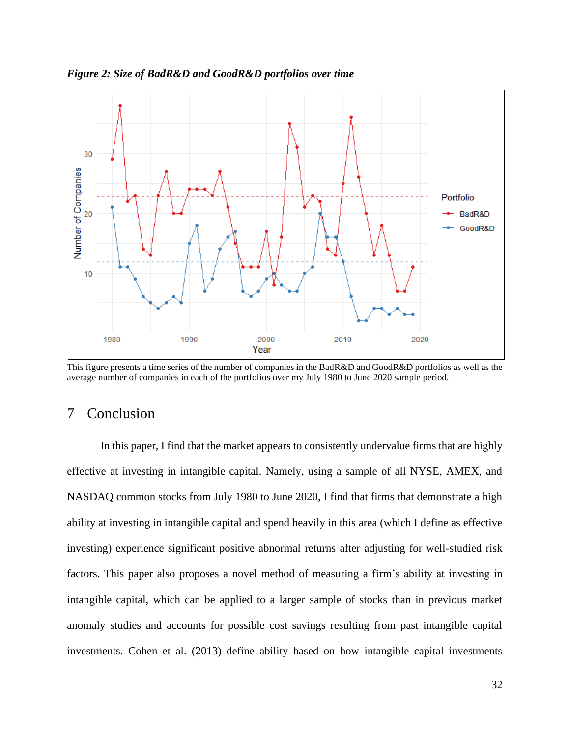



This figure presents a time series of the number of companies in the BadR&D and GoodR&D portfolios as well as the average number of companies in each of the portfolios over my July 1980 to June 2020 sample period.

# <span id="page-32-0"></span>7 Conclusion

In this paper, I find that the market appears to consistently undervalue firms that are highly effective at investing in intangible capital. Namely, using a sample of all NYSE, AMEX, and NASDAQ common stocks from July 1980 to June 2020, I find that firms that demonstrate a high ability at investing in intangible capital and spend heavily in this area (which I define as effective investing) experience significant positive abnormal returns after adjusting for well-studied risk factors. This paper also proposes a novel method of measuring a firm's ability at investing in intangible capital, which can be applied to a larger sample of stocks than in previous market anomaly studies and accounts for possible cost savings resulting from past intangible capital investments. Cohen et al. (2013) define ability based on how intangible capital investments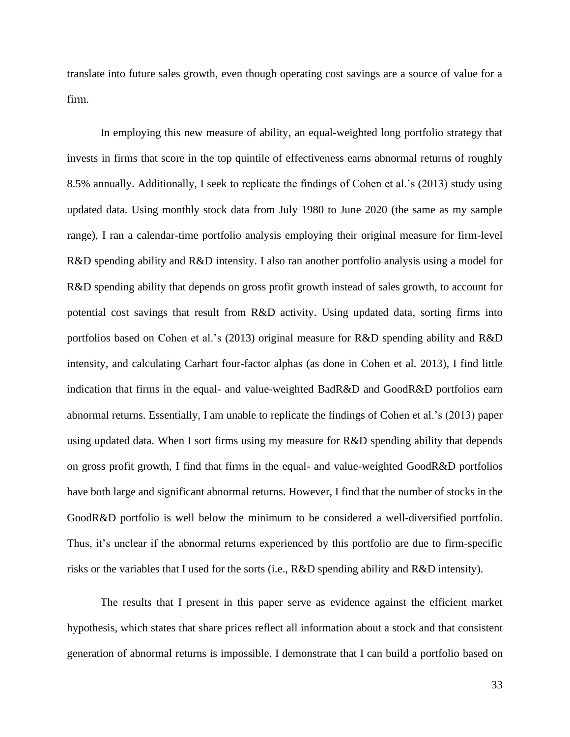translate into future sales growth, even though operating cost savings are a source of value for a firm.

In employing this new measure of ability, an equal-weighted long portfolio strategy that invests in firms that score in the top quintile of effectiveness earns abnormal returns of roughly 8.5% annually. Additionally, I seek to replicate the findings of Cohen et al.'s (2013) study using updated data. Using monthly stock data from July 1980 to June 2020 (the same as my sample range), I ran a calendar-time portfolio analysis employing their original measure for firm-level R&D spending ability and R&D intensity. I also ran another portfolio analysis using a model for R&D spending ability that depends on gross profit growth instead of sales growth, to account for potential cost savings that result from R&D activity. Using updated data, sorting firms into portfolios based on Cohen et al.'s (2013) original measure for R&D spending ability and R&D intensity, and calculating Carhart four-factor alphas (as done in Cohen et al. 2013), I find little indication that firms in the equal- and value-weighted BadR&D and GoodR&D portfolios earn abnormal returns. Essentially, I am unable to replicate the findings of Cohen et al.'s (2013) paper using updated data. When I sort firms using my measure for R&D spending ability that depends on gross profit growth, I find that firms in the equal- and value-weighted GoodR&D portfolios have both large and significant abnormal returns. However, I find that the number of stocks in the GoodR&D portfolio is well below the minimum to be considered a well-diversified portfolio. Thus, it's unclear if the abnormal returns experienced by this portfolio are due to firm-specific risks or the variables that I used for the sorts (i.e., R&D spending ability and R&D intensity).

The results that I present in this paper serve as evidence against the efficient market hypothesis, which states that share prices reflect all information about a stock and that consistent generation of abnormal returns is impossible. I demonstrate that I can build a portfolio based on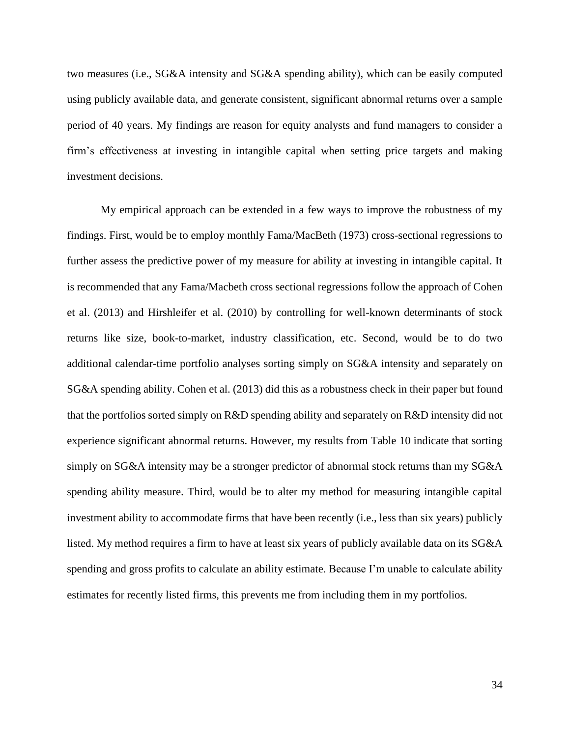two measures (i.e., SG&A intensity and SG&A spending ability), which can be easily computed using publicly available data, and generate consistent, significant abnormal returns over a sample period of 40 years. My findings are reason for equity analysts and fund managers to consider a firm's effectiveness at investing in intangible capital when setting price targets and making investment decisions.

My empirical approach can be extended in a few ways to improve the robustness of my findings. First, would be to employ monthly Fama/MacBeth (1973) cross-sectional regressions to further assess the predictive power of my measure for ability at investing in intangible capital. It is recommended that any Fama/Macbeth cross sectional regressions follow the approach of Cohen et al. (2013) and Hirshleifer et al. (2010) by controlling for well-known determinants of stock returns like size, book-to-market, industry classification, etc. Second, would be to do two additional calendar-time portfolio analyses sorting simply on SG&A intensity and separately on SG&A spending ability. Cohen et al. (2013) did this as a robustness check in their paper but found that the portfolios sorted simply on R&D spending ability and separately on R&D intensity did not experience significant abnormal returns. However, my results from Table 10 indicate that sorting simply on SG&A intensity may be a stronger predictor of abnormal stock returns than my SG&A spending ability measure. Third, would be to alter my method for measuring intangible capital investment ability to accommodate firms that have been recently (i.e., less than six years) publicly listed. My method requires a firm to have at least six years of publicly available data on its SG&A spending and gross profits to calculate an ability estimate. Because I'm unable to calculate ability estimates for recently listed firms, this prevents me from including them in my portfolios.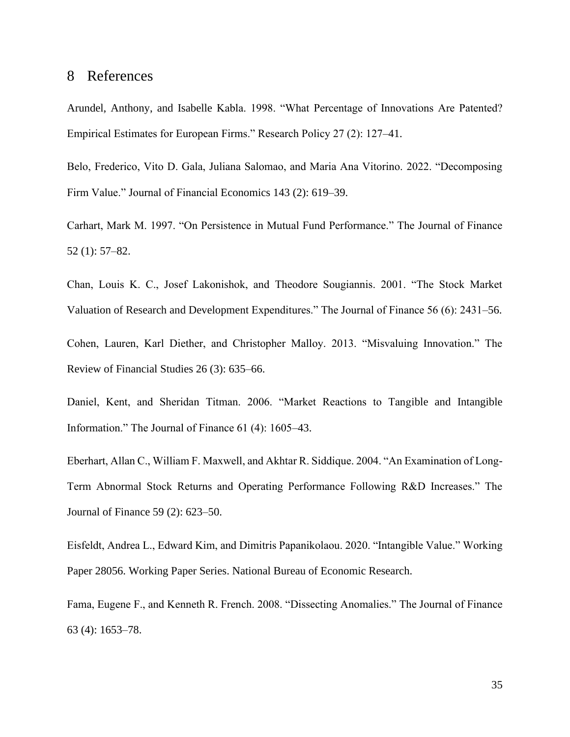#### <span id="page-35-0"></span>8 References

Arundel, Anthony, and Isabelle Kabla. 1998. "What Percentage of Innovations Are Patented? Empirical Estimates for European Firms." Research Policy 27 (2): 127–41.

Belo, Frederico, Vito D. Gala, Juliana Salomao, and Maria Ana Vitorino. 2022. "Decomposing Firm Value." Journal of Financial Economics 143 (2): 619–39.

Carhart, Mark M. 1997. "On Persistence in Mutual Fund Performance." The Journal of Finance 52 (1): 57–82.

Chan, Louis K. C., Josef Lakonishok, and Theodore Sougiannis. 2001. "The Stock Market Valuation of Research and Development Expenditures." The Journal of Finance 56 (6): 2431–56.

Cohen, Lauren, Karl Diether, and Christopher Malloy. 2013. "Misvaluing Innovation." The Review of Financial Studies 26 (3): 635–66.

Daniel, Kent, and Sheridan Titman. 2006. "Market Reactions to Tangible and Intangible Information." The Journal of Finance 61 (4): 1605–43.

Eberhart, Allan C., William F. Maxwell, and Akhtar R. Siddique. 2004. "An Examination of Long-Term Abnormal Stock Returns and Operating Performance Following R&D Increases." The Journal of Finance 59 (2): 623–50.

Eisfeldt, Andrea L., Edward Kim, and Dimitris Papanikolaou. 2020. "Intangible Value." Working Paper 28056. Working Paper Series. National Bureau of Economic Research.

Fama, Eugene F., and Kenneth R. French. 2008. "Dissecting Anomalies." The Journal of Finance 63 (4): 1653–78.